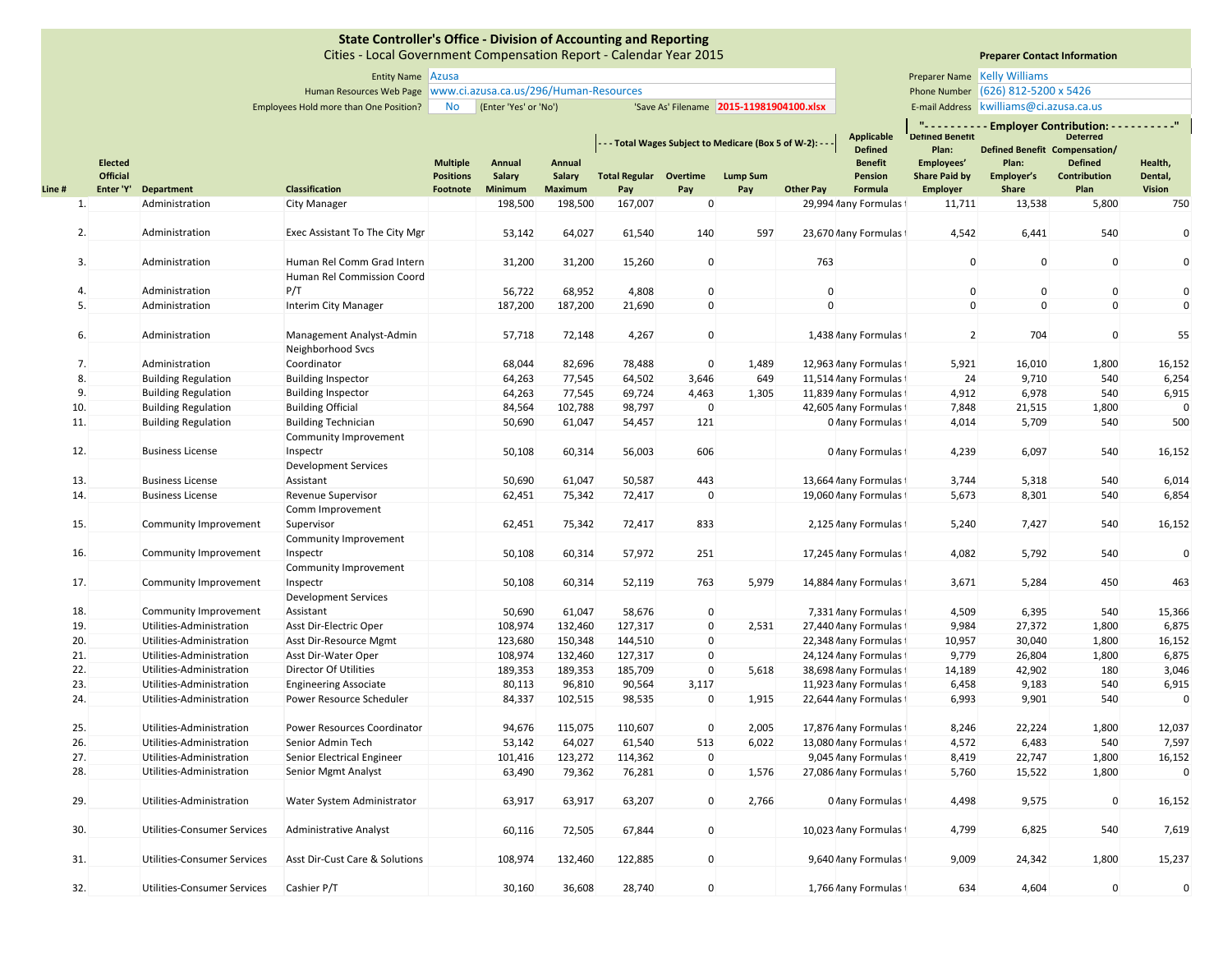|        |                                   |                             | <b>Entity Name</b> Azusa                                          |                                     |                       |                  |                                                             |             |                                          |                  |                                     |                                    | Preparer Name Kelly Williams            |                                                                   |                    |
|--------|-----------------------------------|-----------------------------|-------------------------------------------------------------------|-------------------------------------|-----------------------|------------------|-------------------------------------------------------------|-------------|------------------------------------------|------------------|-------------------------------------|------------------------------------|-----------------------------------------|-------------------------------------------------------------------|--------------------|
|        |                                   |                             | Human Resources Web Page   www.ci.azusa.ca.us/296/Human-Resources |                                     |                       |                  |                                                             |             |                                          |                  |                                     |                                    | Phone Number (626) 812-5200 x 5426      |                                                                   |                    |
|        |                                   |                             | Employees Hold more than One Position?                            | No                                  | (Enter 'Yes' or 'No') |                  |                                                             |             | 'Save As' Filename 2015-11981904100.xlsx |                  |                                     |                                    | E-mail Address kwilliams@ci.azusa.ca.us |                                                                   |                    |
|        |                                   |                             |                                                                   |                                     |                       |                  | - - - Total Wages Subject to Medicare (Box 5 of W-2): - - - |             |                                          |                  | <b>Applicable</b><br><b>Defined</b> | <b>Defined Benetit</b><br>Plan:    | Defined Benefit Compensation/           | "---------- Employer Contribution: ----------"<br><b>Deterred</b> |                    |
|        | <b>Elected</b><br><b>Official</b> |                             |                                                                   | <b>Multiple</b><br><b>Positions</b> | Annual<br>Salary      | Annual<br>Salary | <b>Total Regular Overtime</b>                               |             | <b>Lump Sum</b>                          |                  | <b>Benefit</b><br>Pension           | Employees'<br><b>Share Paid by</b> | Plan:<br>Employer's                     | <b>Defined</b><br>Contribution                                    | Health,<br>Dental, |
| Line # | Enter 'Y'                         | Department                  | Classification                                                    | Footnote                            | Minimum               | <b>Maximum</b>   | Pay                                                         | Pay         | Pay                                      | <b>Other Pay</b> | Formula                             | <b>Employer</b>                    | Share                                   | Plan                                                              | <b>Vision</b>      |
| 1.     |                                   | Administration              | <b>City Manager</b>                                               |                                     | 198,500               | 198,500          | 167,007                                                     | $\mathbf 0$ |                                          |                  | 29,994 /lany Formulas               | 11,711                             | 13,538                                  | 5,800                                                             | 750                |
|        |                                   |                             |                                                                   |                                     |                       |                  |                                                             |             |                                          |                  |                                     |                                    |                                         |                                                                   |                    |
| 2.     |                                   | Administration              | Exec Assistant To The City Mgr                                    |                                     | 53,142                | 64,027           | 61,540                                                      | 140         | 597                                      |                  | 23,670 /lany Formulas               | 4,542                              | 6,441                                   | 540                                                               | 0                  |
|        |                                   |                             |                                                                   |                                     |                       |                  |                                                             |             |                                          |                  |                                     |                                    |                                         |                                                                   |                    |
| 3.     |                                   | Administration              | Human Rel Comm Grad Intern                                        |                                     | 31,200                | 31,200           | 15,260                                                      | $\mathbf 0$ |                                          | 763              |                                     | $\mathbf 0$                        | $\mathbf 0$                             | $\mathbf 0$                                                       | $\mathbf 0$        |
|        |                                   |                             | Human Rel Commission Coord                                        |                                     |                       |                  |                                                             |             |                                          |                  |                                     |                                    |                                         |                                                                   |                    |
| 4.     |                                   | Administration              | P/T                                                               |                                     | 56,722                | 68,952           | 4,808                                                       | 0           |                                          | $\mathbf 0$      |                                     | $\mathbf 0$                        | $\mathbf 0$                             | $\mathbf 0$                                                       | $\pmb{0}$          |
| 5.     |                                   | Administration              | Interim City Manager                                              |                                     | 187,200               | 187,200          | 21,690                                                      | $\mathbf 0$ |                                          | $\mathbf 0$      |                                     | $\mathbf 0$                        | $\mathbf{0}$                            | $\mathbf 0$                                                       | $\mathbf 0$        |
|        |                                   |                             |                                                                   |                                     |                       |                  |                                                             |             |                                          |                  |                                     |                                    |                                         |                                                                   |                    |
| 6.     |                                   | Administration              | Management Analyst-Admin                                          |                                     | 57,718                | 72,148           | 4,267                                                       | $\mathbf 0$ |                                          |                  | 1,438 /lany Formulas f              | $\overline{2}$                     | 704                                     | 0                                                                 | 55                 |
|        |                                   |                             | Neighborhood Svcs                                                 |                                     |                       |                  |                                                             |             |                                          |                  |                                     |                                    |                                         |                                                                   |                    |
| 7.     |                                   | Administration              | Coordinator                                                       |                                     | 68,044                | 82,696           | 78,488                                                      | 0           | 1,489                                    |                  | 12,963 /lany Formulas               | 5,921                              | 16,010                                  | 1,800                                                             | 16,152             |
| 8.     |                                   | <b>Building Regulation</b>  | <b>Building Inspector</b>                                         |                                     | 64,263                | 77,545           | 64,502                                                      | 3,646       | 649                                      |                  | 11,514 /lany Formulas               | 24                                 | 9,710                                   | 540                                                               | 6,254              |
| 9.     |                                   | <b>Building Regulation</b>  | <b>Building Inspector</b>                                         |                                     | 64,263                | 77,545           | 69,724                                                      | 4,463       | 1,305                                    |                  | 11,839 /lany Formulas               | 4,912                              | 6,978                                   | 540                                                               | 6,915              |
| 10.    |                                   | <b>Building Regulation</b>  | <b>Building Official</b>                                          |                                     | 84,564                | 102,788          | 98,797                                                      | $\mathbf 0$ |                                          |                  | 42,605 /lany Formulas t             | 7,848                              | 21,515                                  | 1,800                                                             | $\mathbf 0$        |
| 11.    |                                   | <b>Building Regulation</b>  | <b>Building Technician</b>                                        |                                     | 50,690                | 61,047           | 54,457                                                      | 121         |                                          |                  | 0 Aany Formulas 1                   | 4,014                              | 5,709                                   | 540                                                               | 500                |
|        |                                   |                             | Community Improvement                                             |                                     |                       |                  |                                                             |             |                                          |                  |                                     |                                    |                                         |                                                                   |                    |
| 12.    |                                   | <b>Business License</b>     | Inspectr                                                          |                                     | 50,108                | 60,314           | 56,003                                                      | 606         |                                          |                  | 0 Aany Formulas 1                   | 4,239                              | 6,097                                   | 540                                                               | 16,152             |
|        |                                   |                             | <b>Development Services</b>                                       |                                     |                       |                  |                                                             |             |                                          |                  |                                     |                                    |                                         |                                                                   |                    |
| 13.    |                                   | <b>Business License</b>     | Assistant                                                         |                                     | 50,690                | 61,047           | 50,587                                                      | 443         |                                          |                  | 13,664 Aany Formulas                | 3,744                              | 5,318                                   | 540                                                               | 6,014              |
| 14.    |                                   | <b>Business License</b>     | Revenue Supervisor                                                |                                     | 62,451                | 75,342           | 72,417                                                      | $\mathbf 0$ |                                          |                  | 19,060 /lany Formulas 1             | 5,673                              | 8,301                                   | 540                                                               | 6,854              |
| 15.    |                                   |                             | Comm Improvement                                                  |                                     | 62,451                | 75,342           |                                                             | 833         |                                          |                  |                                     | 5,240                              | 7,427                                   | 540                                                               | 16,152             |
|        |                                   | Community Improvement       | Supervisor<br>Community Improvement                               |                                     |                       |                  | 72,417                                                      |             |                                          |                  | 2,125 /lany Formulas                |                                    |                                         |                                                                   |                    |
| 16.    |                                   | Community Improvement       | Inspectr                                                          |                                     | 50,108                | 60,314           | 57,972                                                      | 251         |                                          |                  | 17,245 /lany Formulas               | 4,082                              | 5,792                                   | 540                                                               | $\mathbf 0$        |
|        |                                   |                             | Community Improvement                                             |                                     |                       |                  |                                                             |             |                                          |                  |                                     |                                    |                                         |                                                                   |                    |
| 17.    |                                   | Community Improvement       | Inspectr                                                          |                                     | 50,108                | 60,314           | 52,119                                                      | 763         | 5,979                                    |                  | 14,884 /lany Formulas t             | 3,671                              | 5,284                                   | 450                                                               | 463                |
|        |                                   |                             | <b>Development Services</b>                                       |                                     |                       |                  |                                                             |             |                                          |                  |                                     |                                    |                                         |                                                                   |                    |
| 18.    |                                   | Community Improvement       | Assistant                                                         |                                     | 50,690                | 61,047           | 58,676                                                      | 0           |                                          |                  | 7,331 /lany Formulas f              | 4,509                              | 6,395                                   | 540                                                               | 15,366             |
| 19.    |                                   | Utilities-Administration    | Asst Dir-Electric Oper                                            |                                     | 108,974               | 132,460          | 127,317                                                     | $\mathbf 0$ | 2,531                                    |                  | 27,440 /any Formulas t              | 9,984                              | 27,372                                  | 1,800                                                             | 6,875              |
| 20.    |                                   | Utilities-Administration    | Asst Dir-Resource Mgmt                                            |                                     | 123,680               | 150,348          | 144,510                                                     | 0           |                                          |                  | 22,348 /lany Formulas               | 10,957                             | 30,040                                  | 1,800                                                             | 16,152             |
| 21.    |                                   | Utilities-Administration    | Asst Dir-Water Oper                                               |                                     | 108,974               | 132,460          | 127,317                                                     | $\mathbf 0$ |                                          |                  | 24,124 /lany Formulas               | 9,779                              | 26,804                                  | 1,800                                                             | 6,875              |
| 22.    |                                   | Utilities-Administration    | Director Of Utilities                                             |                                     | 189,353               | 189,353          | 185,709                                                     | $\mathbf 0$ | 5,618                                    |                  | 38,698 Aany Formulas 1              | 14,189                             | 42,902                                  | 180                                                               | 3,046              |
| 23.    |                                   | Utilities-Administration    | <b>Engineering Associate</b>                                      |                                     | 80,113                | 96,810           | 90,564                                                      | 3,117       |                                          |                  | 11,923 /lany Formulas i             | 6,458                              | 9,183                                   | 540                                                               | 6,915              |
| 24.    |                                   | Utilities-Administration    | Power Resource Scheduler                                          |                                     | 84,337                | 102,515          | 98,535                                                      | $\mathbf 0$ | 1,915                                    |                  | 22,644 /lany Formulas               | 6,993                              | 9,901                                   | 540                                                               | $\mathbf 0$        |
|        |                                   |                             |                                                                   |                                     |                       |                  |                                                             |             |                                          |                  |                                     |                                    |                                         |                                                                   |                    |
| 25.    |                                   | Utilities-Administration    | <b>Power Resources Coordinator</b>                                |                                     | 94,676                | 115,075          | 110,607                                                     | 0           | 2,005                                    |                  | 17,876 /lany Formulas 1             | 8,246                              | 22,224                                  | 1,800                                                             | 12,037             |
| 26.    |                                   | Utilities-Administration    | Senior Admin Tech                                                 |                                     | 53,142                | 64,027           | 61,540                                                      | 513         | 6,022                                    |                  | 13,080 /lany Formulas t             | 4,572                              | 6,483                                   | 540                                                               | 7,597              |
| 27.    |                                   | Utilities-Administration    | Senior Electrical Engineer                                        |                                     | 101,416               | 123,272          | 114,362                                                     | $\pmb{0}$   |                                          |                  | 9,045 /lany Formulas                | 8,419                              | 22,747                                  | 1,800                                                             | 16,152             |
| 28.    |                                   | Utilities-Administration    | Senior Mgmt Analyst                                               |                                     | 63,490                | 79,362           | 76,281                                                      | $\mathbf 0$ | 1,576                                    |                  | 27,086 /lany Formulas               | 5,760                              | 15,522                                  | 1,800                                                             | $\mathbf 0$        |
|        |                                   |                             |                                                                   |                                     |                       |                  |                                                             |             |                                          |                  |                                     |                                    |                                         |                                                                   |                    |
| 29.    |                                   | Utilities-Administration    | Water System Administrator                                        |                                     | 63,917                | 63,917           | 63,207                                                      | $\mathbf 0$ | 2,766                                    |                  | 0 /lany Formulas t                  | 4,498                              | 9,575                                   | $\mathbf 0$                                                       | 16,152             |
| 30.    |                                   | Utilities-Consumer Services | Administrative Analyst                                            |                                     | 60,116                | 72,505           | 67,844                                                      | $\mathbf 0$ |                                          |                  | 10,023 /lany Formulas f             | 4,799                              | 6,825                                   | 540                                                               | 7,619              |
|        |                                   |                             |                                                                   |                                     |                       |                  |                                                             |             |                                          |                  |                                     |                                    |                                         |                                                                   |                    |
| 31.    |                                   | Utilities-Consumer Services | Asst Dir-Cust Care & Solutions                                    |                                     | 108,974               | 132,460          | 122,885                                                     | $\mathbf 0$ |                                          |                  | 9,640 /lany Formulas                | 9,009                              | 24,342                                  | 1,800                                                             | 15,237             |
|        |                                   |                             |                                                                   |                                     |                       |                  |                                                             |             |                                          |                  |                                     |                                    |                                         |                                                                   |                    |
| 32.    |                                   | Utilities-Consumer Services | Cashier P/T                                                       |                                     | 30,160                | 36,608           | 28,740                                                      | $\mathbf 0$ |                                          |                  | 1,766 /lany Formulas                | 634                                | 4,604                                   | 0                                                                 | $\mathbf{0}$       |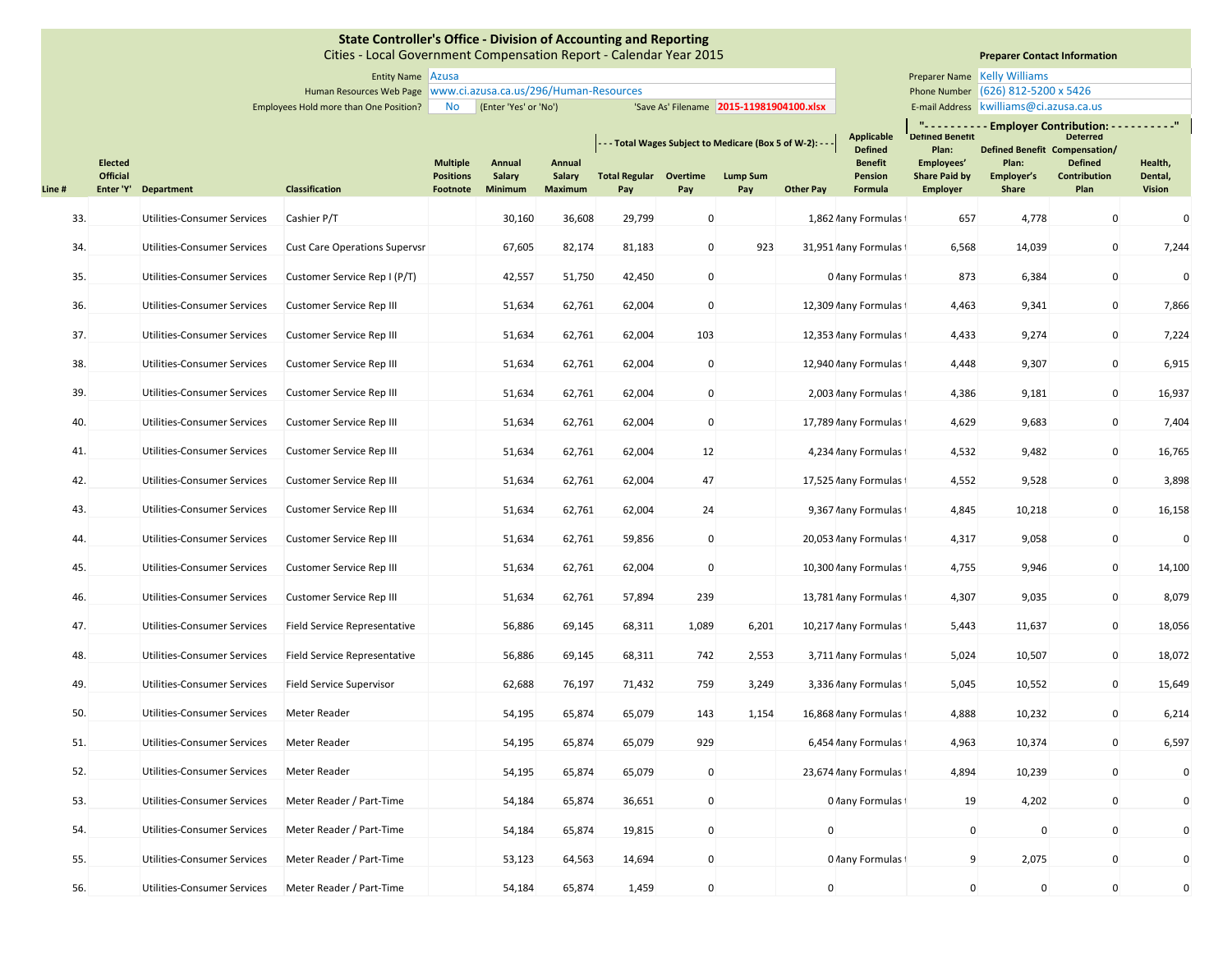Cities ‐ Local Government Compensation Report ‐ Calendar Year 2015

# **Preparer Contact Information**

Entity Name Preparer Name Azusa **Preparer Name Kelly Williams** Phone Number (626) 812-5200 x 5426 E-mail Address | kwilliams@ci.azusa.ca.us

Employees Hold more than One Position? No (Enter 'Yes' or 'No') 'Save As' Filename 2015-11981904100.xlsx | E-mail Address

Human Resources Web Page Phone Number www.ci.azusa.ca.us/296/Human‐Resources

|        |                                   |                                    |                                      |                                     |                  |                  | - - - Total Wages Subject to Medicare (Box 5 of W-2): - - - |              |                 |                  | <b>Applicable</b><br><b>Defined</b> | <b>Detined Benetit</b><br>Plan:    | Defined Benefit Compensation/ | "---------- Employer Contribution: ----------"<br><b>Deterred</b> |                    |
|--------|-----------------------------------|------------------------------------|--------------------------------------|-------------------------------------|------------------|------------------|-------------------------------------------------------------|--------------|-----------------|------------------|-------------------------------------|------------------------------------|-------------------------------|-------------------------------------------------------------------|--------------------|
|        | <b>Elected</b><br><b>Official</b> |                                    |                                      | <b>Multiple</b><br><b>Positions</b> | Annual<br>Salary | Annual<br>Salary | <b>Total Regular Overtime</b>                               |              | <b>Lump Sum</b> |                  | <b>Benefit</b><br>Pension           | Employees'<br><b>Share Paid by</b> | Plan:<br>Employer's           | <b>Defined</b><br>Contribution                                    | Health,<br>Dental, |
| Line # |                                   | Enter 'Y' Department               | <b>Classification</b>                | Footnote                            | Minimum          | <b>Maximum</b>   | Pay                                                         | Pay          | Pay             | <b>Other Pay</b> | Formula                             | <b>Employer</b>                    | <b>Share</b>                  | Plan                                                              | Vision             |
| 33.    |                                   | <b>Utilities-Consumer Services</b> | Cashier P/T                          |                                     | 30,160           | 36,608           | 29,799                                                      | $\mathbf{0}$ |                 |                  | 1,862 /lany Formulas                | 657                                | 4,778                         | $\mathbf{0}$                                                      | $\mathbf{0}$       |
| 34.    |                                   | Utilities-Consumer Services        | <b>Cust Care Operations Supervsr</b> |                                     | 67,605           | 82,174           | 81,183                                                      | $\mathbf 0$  | 923             |                  | 31,951 Aany Formulas                | 6,568                              | 14,039                        | $\mathbf 0$                                                       | 7,244              |
| 35.    |                                   | Utilities-Consumer Services        | Customer Service Rep I (P/T)         |                                     | 42,557           | 51,750           | 42,450                                                      | $\mathbf 0$  |                 |                  | 0 Aany Formulas                     | 873                                | 6,384                         | 0                                                                 | $\mathbf 0$        |
| 36.    |                                   | Utilities-Consumer Services        | Customer Service Rep III             |                                     | 51,634           | 62,761           | 62,004                                                      | $\mathbf 0$  |                 |                  | 12,309 /lany Formulas               | 4,463                              | 9,341                         | $\mathbf 0$                                                       | 7,866              |
| 37.    |                                   | Utilities-Consumer Services        | Customer Service Rep III             |                                     | 51,634           | 62,761           | 62,004                                                      | 103          |                 |                  | 12,353 /lany Formulas               | 4,433                              | 9,274                         | $\mathbf 0$                                                       | 7,224              |
| 38.    |                                   | Utilities-Consumer Services        | Customer Service Rep III             |                                     | 51,634           | 62,761           | 62,004                                                      | $\mathbf 0$  |                 |                  | 12,940 Aany Formulas 1              | 4,448                              | 9,307                         | $\mathbf 0$                                                       | 6,915              |
| 39.    |                                   | Utilities-Consumer Services        | Customer Service Rep III             |                                     | 51,634           | 62,761           | 62,004                                                      | $\mathbf{0}$ |                 |                  | 2,003 /lany Formulas i              | 4,386                              | 9,181                         | $\mathbf 0$                                                       | 16,937             |
| 40.    |                                   | Utilities-Consumer Services        | Customer Service Rep III             |                                     | 51,634           | 62,761           | 62,004                                                      | $\mathbf 0$  |                 |                  | 17,789 /lany Formulas f             | 4,629                              | 9,683                         | $\mathbf 0$                                                       | 7,404              |
| 41.    |                                   | Utilities-Consumer Services        | Customer Service Rep III             |                                     | 51,634           | 62,761           | 62,004                                                      | 12           |                 |                  | 4,234 /lany Formulas                | 4,532                              | 9,482                         | $\mathbf 0$                                                       | 16,765             |
| 42.    |                                   | Utilities-Consumer Services        | Customer Service Rep III             |                                     | 51,634           | 62,761           | 62,004                                                      | 47           |                 |                  | 17,525 /lany Formulas f             | 4,552                              | 9,528                         | $\mathbf 0$                                                       | 3,898              |
| 43.    |                                   | <b>Utilities-Consumer Services</b> | Customer Service Rep III             |                                     | 51,634           | 62,761           | 62,004                                                      | 24           |                 |                  | 9,367 /lany Formulas                | 4,845                              | 10,218                        | $\mathbf 0$                                                       | 16,158             |
| 44.    |                                   | Utilities-Consumer Services        | Customer Service Rep III             |                                     | 51,634           | 62,761           | 59,856                                                      | $\mathbf 0$  |                 |                  | 20,053 /lany Formulas               | 4,317                              | 9,058                         | $\mathbf 0$                                                       | $\mathbf 0$        |
| 45.    |                                   | <b>Utilities-Consumer Services</b> | Customer Service Rep III             |                                     | 51,634           | 62,761           | 62,004                                                      | $\mathbf 0$  |                 |                  | 10,300 /lany Formulas               | 4,755                              | 9,946                         | $\mathbf 0$                                                       | 14,100             |
| 46.    |                                   | Utilities-Consumer Services        | Customer Service Rep III             |                                     | 51,634           | 62,761           | 57,894                                                      | 239          |                 |                  | 13,781 /lany Formulas               | 4,307                              | 9,035                         | $\mathbf{0}$                                                      | 8,079              |
| 47.    |                                   | Utilities-Consumer Services        | <b>Field Service Representative</b>  |                                     | 56,886           | 69,145           | 68,311                                                      | 1,089        | 6,201           |                  | 10,217 /lany Formulas               | 5,443                              | 11,637                        | $\mathbf 0$                                                       | 18,056             |
| 48.    |                                   | Utilities-Consumer Services        | Field Service Representative         |                                     | 56,886           | 69,145           | 68,311                                                      | 742          | 2,553           |                  | 3,711 / Jany Formulas               | 5,024                              | 10,507                        | $\mathbf 0$                                                       | 18,072             |
| 49.    |                                   | <b>Utilities-Consumer Services</b> | <b>Field Service Supervisor</b>      |                                     | 62,688           | 76,197           | 71,432                                                      | 759          | 3,249           |                  | 3,336 /lany Formulas                | 5,045                              | 10,552                        | $\mathbf 0$                                                       | 15,649             |
| 50.    |                                   | Utilities-Consumer Services        | Meter Reader                         |                                     | 54,195           | 65,874           | 65,079                                                      | 143          | 1,154           |                  | 16,868 /lany Formulas               | 4,888                              | 10,232                        | $\mathbf 0$                                                       | 6,214              |
| 51.    |                                   | Utilities-Consumer Services        | Meter Reader                         |                                     | 54,195           | 65,874           | 65,079                                                      | 929          |                 |                  | 6,454 /lany Formulas                | 4,963                              | 10,374                        | $\mathbf 0$                                                       | 6,597              |
| 52.    |                                   | Utilities-Consumer Services        | Meter Reader                         |                                     | 54,195           | 65,874           | 65,079                                                      | $\mathbf 0$  |                 |                  | 23,674 Aany Formulas I              | 4,894                              | 10,239                        | $\mathbf 0$                                                       | $\mathbf 0$        |
| 53.    |                                   | Utilities-Consumer Services        | Meter Reader / Part-Time             |                                     | 54,184           | 65,874           | 36,651                                                      | $\mathbf 0$  |                 |                  | 0 Aany Formulas                     | 19                                 | 4,202                         | $\mathbf 0$                                                       | $\mathbf 0$        |
| 54.    |                                   | Utilities-Consumer Services        | Meter Reader / Part-Time             |                                     | 54,184           | 65,874           | 19,815                                                      | $\mathbf 0$  |                 | $\mathbf 0$      |                                     | $\mathbf 0$                        | $\mathbf 0$                   | $\mathbf 0$                                                       | $\mathbf 0$        |
| 55.    |                                   | Utilities-Consumer Services        | Meter Reader / Part-Time             |                                     | 53,123           | 64,563           | 14,694                                                      | $\mathbf 0$  |                 |                  | 0 Aany Formulas 1                   | 9                                  | 2,075                         | $\mathbf 0$                                                       | $\mathbf 0$        |
| 56.    |                                   | Utilities-Consumer Services        | Meter Reader / Part-Time             |                                     | 54,184           | 65,874           | 1,459                                                       | $\Omega$     |                 | $\mathbf 0$      |                                     | $\Omega$                           | $\Omega$                      | $\Omega$                                                          | $\mathbf 0$        |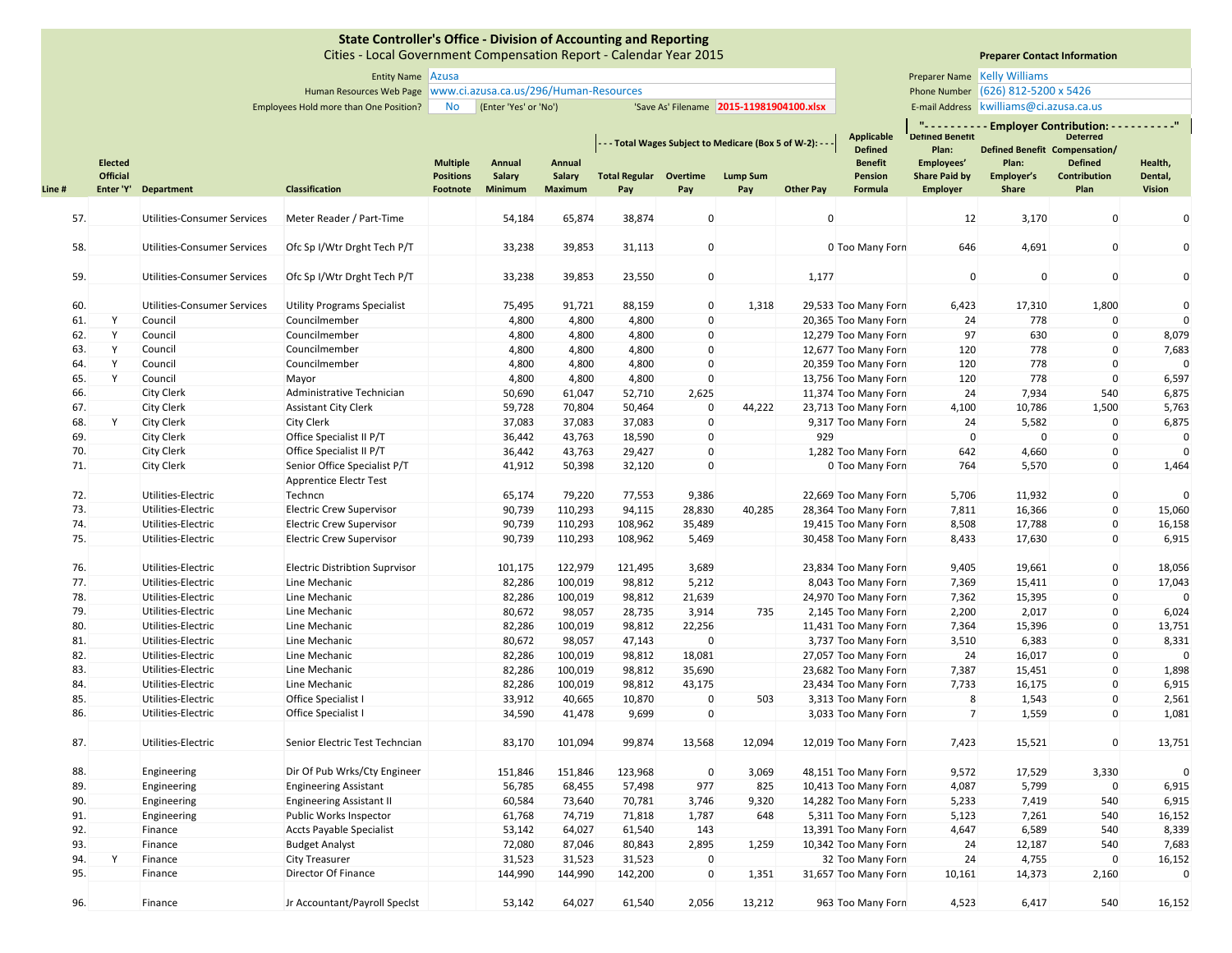Cities ‐ Local Government Compensation Report ‐ Calendar Year 2015

# **Preparer Contact Information**

Entity Name Preparer Name Azusa

Human Resources Web Page Phone Number www.ci.azusa.ca.us/296/Human‐Resources

Employees Hold more than One Position? No (Enter 'Yes' or 'No') 'Save As' Filename 2015-11981904100.xlsx | E-mail Address

**Preparer Name Kelly Williams** Phone Number (626) 812-5200 x 5426

E-mail Address | kwilliams@ci.azusa.ca.us

|        | <b>Elected</b>  |                                    |                                       | <b>Multiple</b>  | Annual  | Annual         |                      |              | - - Total Wages Subject to Medicare (Box 5 of W-2): - - |                  | <b>Applicable</b><br><b>Defined</b><br><b>Benefit</b> | Mada a a a<br><b>Detined Benetit</b><br>Plan:<br>Employees' | Defined Benefit Compensation/<br>Plan: | --- Employer Contribution: ----------"<br><b>Deterred</b><br><b>Defined</b> | Health,      |
|--------|-----------------|------------------------------------|---------------------------------------|------------------|---------|----------------|----------------------|--------------|---------------------------------------------------------|------------------|-------------------------------------------------------|-------------------------------------------------------------|----------------------------------------|-----------------------------------------------------------------------------|--------------|
|        | <b>Official</b> |                                    |                                       | <b>Positions</b> | Salary  | Salary         | <b>Total Regular</b> | Overtime     | <b>Lump Sum</b>                                         |                  | Pension                                               | <b>Share Paid by</b>                                        | Employer's                             | Contribution                                                                | Dental,      |
| Line # |                 | Enter 'Y' Department               | <b>Classification</b>                 | Footnote         | Minimum | <b>Maximum</b> | Pay                  | Pay          | Pay                                                     | <b>Other Pay</b> | Formula                                               | <b>Employer</b>                                             | <b>Share</b>                           | Plan                                                                        | Vision       |
|        |                 |                                    |                                       |                  |         |                |                      |              |                                                         |                  |                                                       |                                                             |                                        |                                                                             |              |
| 57.    |                 | <b>Utilities-Consumer Services</b> | Meter Reader / Part-Time              |                  | 54,184  | 65,874         | 38,874               | $\mathbf 0$  |                                                         | $\pmb{0}$        |                                                       | 12                                                          | 3,170                                  | $\pmb{0}$                                                                   | $\mathbf 0$  |
| 58.    |                 | <b>Utilities-Consumer Services</b> | Ofc Sp I/Wtr Drght Tech P/T           |                  | 33,238  | 39,853         | 31,113               | $\pmb{0}$    |                                                         |                  | 0 Too Many Forn                                       | 646                                                         | 4,691                                  | $\mathbf 0$                                                                 | $\mathbf 0$  |
|        |                 |                                    |                                       |                  |         |                |                      |              |                                                         |                  |                                                       |                                                             |                                        |                                                                             |              |
| 59.    |                 | <b>Utilities-Consumer Services</b> | Ofc Sp I/Wtr Drght Tech P/T           |                  | 33,238  | 39,853         | 23,550               | $\mathbf 0$  |                                                         | 1,177            |                                                       | $\mathbf 0$                                                 | $\mathbf 0$                            | $\mathbf 0$                                                                 | $\mathbf{0}$ |
| 60.    |                 | <b>Utilities-Consumer Services</b> | <b>Utility Programs Specialist</b>    |                  | 75,495  | 91,721         | 88,159               | $\mathbf{0}$ | 1,318                                                   |                  | 29,533 Too Many Forn                                  | 6,423                                                       | 17,310                                 | 1,800                                                                       | $\mathbf 0$  |
| 61.    | Y               | Council                            | Councilmember                         |                  | 4,800   | 4,800          | 4,800                | $\mathbf 0$  |                                                         |                  | 20,365 Too Many Forn                                  | 24                                                          | 778                                    | $\Omega$                                                                    | $\Omega$     |
| 62.    | Υ               | Council                            | Councilmember                         |                  | 4,800   | 4,800          | 4,800                | $\mathbf 0$  |                                                         |                  | 12,279 Too Many Forn                                  | 97                                                          | 630                                    | $\mathbf 0$                                                                 | 8,079        |
| 63.    | Y               | Council                            | Councilmember                         |                  | 4,800   | 4,800          | 4,800                | $\mathbf 0$  |                                                         |                  | 12,677 Too Many Forn                                  | 120                                                         | 778                                    | $\mathbf{0}$                                                                | 7,683        |
| 64.    | Y               | Council                            | Councilmember                         |                  | 4,800   | 4,800          | 4,800                | $\mathbf 0$  |                                                         |                  | 20,359 Too Many Forn                                  | 120                                                         | 778                                    | $\mathbf 0$                                                                 | $\Omega$     |
| 65.    | Y               | Council                            | Mayor                                 |                  | 4,800   | 4,800          | 4,800                | $\mathbf 0$  |                                                         |                  | 13,756 Too Many Forn                                  | 120                                                         | 778                                    | $\Omega$                                                                    | 6,597        |
| 66.    |                 | <b>City Clerk</b>                  | Administrative Technician             |                  | 50,690  | 61,047         | 52,710               | 2,625        |                                                         |                  | 11,374 Too Many Forn                                  | 24                                                          | 7,934                                  | 540                                                                         | 6,875        |
| 67.    |                 | <b>City Clerk</b>                  | <b>Assistant City Clerk</b>           |                  | 59,728  | 70,804         | 50,464               | $\mathbf 0$  | 44,222                                                  |                  | 23,713 Too Many Forn                                  | 4,100                                                       | 10,786                                 | 1,500                                                                       | 5,763        |
| 68.    | Y               | <b>City Clerk</b>                  | <b>City Clerk</b>                     |                  | 37,083  | 37,083         | 37,083               | $\mathbf{0}$ |                                                         |                  | 9,317 Too Many Forn                                   | 24                                                          | 5,582                                  | $\mathbf 0$                                                                 | 6,875        |
| 69.    |                 | <b>City Clerk</b>                  | Office Specialist II P/T              |                  | 36,442  | 43,763         | 18,590               | 0            |                                                         | 929              |                                                       | $\mathbf{0}$                                                | $\mathbf 0$                            | $\mathbf 0$                                                                 | $\mathbf 0$  |
| 70.    |                 | <b>City Clerk</b>                  | Office Specialist II P/T              |                  | 36,442  | 43,763         | 29,427               | $\Omega$     |                                                         |                  | 1,282 Too Many Forn                                   | 642                                                         | 4,660                                  | $\mathbf{0}$                                                                | $\Omega$     |
| 71.    |                 | City Clerk                         | Senior Office Specialist P/T          |                  | 41,912  | 50,398         | 32,120               | $\mathbf 0$  |                                                         |                  | 0 Too Many Forn                                       | 764                                                         | 5,570                                  | $\mathbf 0$                                                                 | 1,464        |
|        |                 |                                    | Apprentice Electr Test                |                  |         |                |                      |              |                                                         |                  |                                                       |                                                             |                                        |                                                                             |              |
| 72.    |                 | Utilities-Electric                 | Techncn                               |                  | 65,174  | 79,220         | 77,553               | 9,386        |                                                         |                  | 22,669 Too Many Forn                                  | 5,706                                                       | 11,932                                 | $\pmb{0}$                                                                   | $\mathbf 0$  |
| 73.    |                 | Utilities-Electric                 | <b>Electric Crew Supervisor</b>       |                  | 90,739  | 110,293        | 94,115               | 28,830       | 40,285                                                  |                  | 28,364 Too Many Forn                                  | 7,811                                                       | 16,366                                 | $\mathbf 0$                                                                 | 15,060       |
| 74.    |                 | Utilities-Electric                 | <b>Electric Crew Supervisor</b>       |                  | 90,739  | 110,293        | 108,962              | 35,489       |                                                         |                  | 19,415 Too Many Forn                                  | 8,508                                                       | 17,788                                 | $\mathbf 0$                                                                 | 16,158       |
| 75.    |                 | Utilities-Electric                 | <b>Electric Crew Supervisor</b>       |                  | 90,739  | 110,293        | 108,962              | 5,469        |                                                         |                  | 30,458 Too Many Forn                                  | 8,433                                                       | 17,630                                 | $\mathbf 0$                                                                 | 6,915        |
| 76.    |                 | Utilities-Electric                 | <b>Electric Distribtion Suprvisor</b> |                  | 101,175 | 122,979        | 121,495              | 3,689        |                                                         |                  | 23,834 Too Many Forn                                  | 9,405                                                       | 19,661                                 | $\pmb{0}$                                                                   | 18,056       |
| 77.    |                 | Utilities-Electric                 | Line Mechanic                         |                  | 82,286  | 100,019        | 98,812               | 5,212        |                                                         |                  | 8,043 Too Many Forn                                   | 7,369                                                       | 15,411                                 | $\mathbf 0$                                                                 | 17,043       |
| 78.    |                 | Utilities-Electric                 | Line Mechanic                         |                  | 82,286  | 100,019        | 98,812               | 21,639       |                                                         |                  | 24,970 Too Many Forn                                  | 7,362                                                       | 15,395                                 | $\pmb{0}$                                                                   | $\Omega$     |
| 79.    |                 | Utilities-Electric                 | Line Mechanic                         |                  | 80,672  | 98,057         | 28,735               | 3,914        | 735                                                     |                  | 2,145 Too Many Forn                                   | 2,200                                                       | 2,017                                  | $\mathbf 0$                                                                 | 6,024        |
| 80.    |                 | Utilities-Electric                 | Line Mechanic                         |                  | 82,286  | 100,019        | 98,812               | 22,256       |                                                         |                  | 11,431 Too Many Forn                                  | 7,364                                                       | 15,396                                 | $\mathbf 0$                                                                 | 13,751       |
| 81.    |                 | Utilities-Electric                 | Line Mechanic                         |                  | 80,672  | 98,057         | 47,143               | $\mathbf 0$  |                                                         |                  | 3,737 Too Many Forn                                   | 3,510                                                       | 6,383                                  | $\mathbf 0$                                                                 | 8,331        |
| 82.    |                 | Utilities-Electric                 | Line Mechanic                         |                  | 82,286  | 100,019        | 98,812               | 18,081       |                                                         |                  | 27,057 Too Many Forn                                  | 24                                                          | 16,017                                 | $\mathbf 0$                                                                 | $\mathbf{0}$ |
| 83.    |                 | Utilities-Electric                 | Line Mechanic                         |                  | 82,286  | 100,019        | 98,812               | 35,690       |                                                         |                  | 23,682 Too Many Forn                                  | 7,387                                                       | 15,451                                 | $\mathbf 0$                                                                 | 1,898        |
| 84.    |                 | Utilities-Electric                 | Line Mechanic                         |                  | 82,286  | 100,019        | 98,812               | 43,175       |                                                         |                  | 23,434 Too Many Forn                                  | 7,733                                                       | 16,175                                 | $\mathbf 0$                                                                 | 6,915        |
| 85.    |                 | Utilities-Electric                 | Office Specialist I                   |                  | 33,912  | 40,665         | 10,870               | $\mathbf 0$  | 503                                                     |                  | 3,313 Too Many Forn                                   | 8                                                           | 1,543                                  | $\mathbf 0$                                                                 | 2,561        |
| 86.    |                 | Utilities-Electric                 | Office Specialist I                   |                  | 34,590  | 41,478         | 9,699                | $\mathbf 0$  |                                                         |                  | 3,033 Too Many Forn                                   | $\overline{7}$                                              | 1,559                                  | $\mathbf 0$                                                                 | 1,081        |
| 87.    |                 | Utilities-Electric                 | Senior Electric Test Techncian        |                  | 83,170  | 101,094        | 99,874               | 13,568       | 12,094                                                  |                  | 12,019 Too Many Forn                                  | 7,423                                                       | 15,521                                 | $\mathbf 0$                                                                 | 13,751       |
| 88.    |                 | Engineering                        | Dir Of Pub Wrks/Cty Engineer          |                  | 151,846 | 151,846        | 123,968              | $\mathbf 0$  | 3,069                                                   |                  | 48,151 Too Many Forn                                  | 9,572                                                       | 17,529                                 | 3,330                                                                       | $\Omega$     |
| 89.    |                 | Engineering                        | <b>Engineering Assistant</b>          |                  | 56,785  | 68,455         | 57,498               | 977          | 825                                                     |                  | 10,413 Too Many Forn                                  | 4,087                                                       | 5,799                                  | $\mathbf 0$                                                                 | 6,915        |
| 90.    |                 | Engineering                        | <b>Engineering Assistant II</b>       |                  | 60,584  | 73,640         | 70,781               | 3,746        | 9,320                                                   |                  | 14,282 Too Many Forn                                  | 5,233                                                       | 7,419                                  | 540                                                                         | 6,915        |
| 91.    |                 | Engineering                        | Public Works Inspector                |                  | 61,768  | 74,719         | 71,818               | 1,787        | 648                                                     |                  | 5,311 Too Many Forn                                   | 5,123                                                       | 7,261                                  | 540                                                                         | 16,152       |
| 92.    |                 | Finance                            | <b>Accts Payable Specialist</b>       |                  | 53,142  | 64,027         | 61,540               | 143          |                                                         |                  | 13,391 Too Many Forn                                  | 4,647                                                       | 6,589                                  | 540                                                                         | 8,339        |
| 93.    |                 | Finance                            | <b>Budget Analyst</b>                 |                  | 72,080  | 87,046         | 80,843               | 2,895        | 1,259                                                   |                  | 10,342 Too Many Forn                                  | 24                                                          | 12,187                                 | 540                                                                         | 7,683        |
| 94.    | Y               | Finance                            | <b>City Treasurer</b>                 |                  | 31,523  | 31,523         | 31,523               | $\mathbf 0$  |                                                         |                  | 32 Too Many Forn                                      | 24                                                          | 4,755                                  | $\mathbf 0$                                                                 | 16,152       |
| 95.    |                 | Finance                            | Director Of Finance                   |                  | 144,990 | 144,990        | 142,200              | $\mathbf 0$  | 1,351                                                   |                  | 31,657 Too Many Forn                                  | 10,161                                                      | 14,373                                 | 2,160                                                                       | $\Omega$     |
| 96.    |                 | Finance                            | Jr Accountant/Payroll Specist         |                  | 53,142  | 64,027         | 61,540               | 2,056        | 13,212                                                  |                  | 963 Too Many Forn                                     | 4,523                                                       | 6,417                                  | 540                                                                         | 16,152       |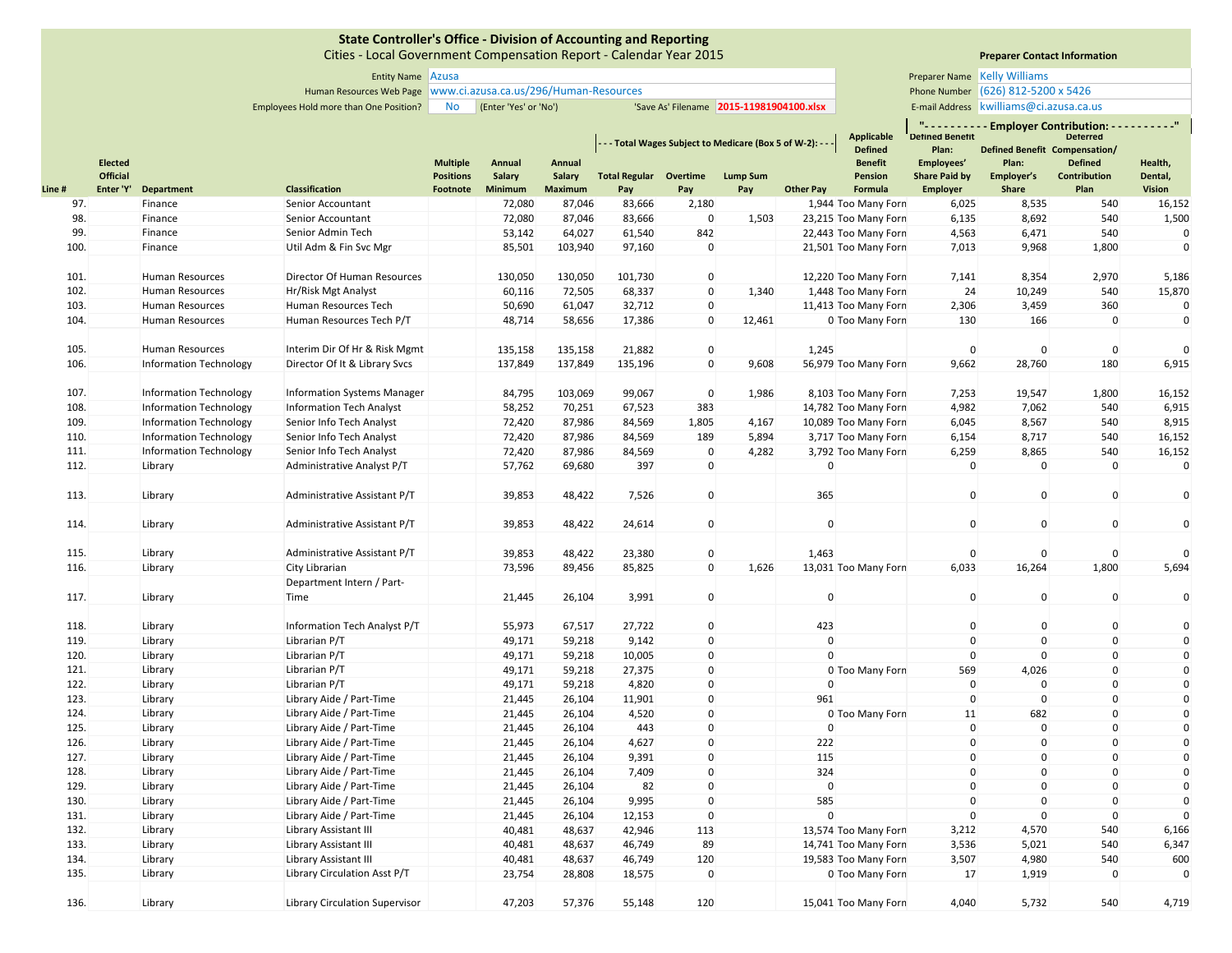Cities ‐ Local Government Compensation Report ‐ Calendar Year 2015

# **Preparer Contact Information**

| <b>Entity Name Azusa</b> |                                                                   | <b>Preparer Name Kelly Williams</b> |                                    |
|--------------------------|-------------------------------------------------------------------|-------------------------------------|------------------------------------|
|                          | Juman Resources Web Page   www.ci.azusa.ca.us/296/Human-Resources |                                     | Phone Number (626) 812-5200 x 5426 |

Employees Hold more than One Position? No (Enter 'Yes' or 'No') 'Save As' Filename 2015-11981904100.xlsx | E-mail Address E-mail Address | kwilliams@ci.azusa.ca.us

|        | <b>Elected</b>  |                               |                                       | <b>Multiple</b>  | Annual  | Annual         |                      |              | - - - Total Wages Subject to Medicare (Box 5 of W-2): - - - |                  | <b>Applicable</b><br><b>Defined</b><br><b>Benefit</b> | <b>Detined Benetit</b><br>Plan:<br>Employees' | Plan:        | "- - - - - - - - - Employer Contribution: - - -<br><b>Deterred</b><br><b>Defined Benefit Compensation/</b><br><b>Defined</b> | Health,       |
|--------|-----------------|-------------------------------|---------------------------------------|------------------|---------|----------------|----------------------|--------------|-------------------------------------------------------------|------------------|-------------------------------------------------------|-----------------------------------------------|--------------|------------------------------------------------------------------------------------------------------------------------------|---------------|
|        | <b>Official</b> |                               |                                       | <b>Positions</b> | Salary  | Salary         | <b>Total Regular</b> | Overtime     | <b>Lump Sum</b>                                             |                  | Pension                                               | <b>Share Paid by</b>                          | Employer's   | <b>Contribution</b>                                                                                                          | Dental,       |
| Line # | Enter 'Y'       | Department                    | <b>Classification</b>                 | Footnote         | Minimum | <b>Maximum</b> | Pay                  | Pay          | Pay                                                         | <b>Other Pay</b> | Formula                                               | <b>Employer</b>                               | <b>Share</b> | Plan                                                                                                                         | <b>Vision</b> |
|        | 97.             | Finance                       | Senior Accountant                     |                  | 72,080  | 87,046         | 83,666               | 2,180        |                                                             |                  | 1,944 Too Many Forn                                   | 6,025                                         | 8,535        | 540                                                                                                                          | 16,152        |
|        | 98.             | Finance                       | Senior Accountant                     |                  | 72,080  | 87,046         | 83,666               | $\mathbf 0$  | 1,503                                                       |                  | 23,215 Too Many Forn                                  | 6,135                                         | 8,692        | 540                                                                                                                          | 1,500         |
| 99.    |                 | Finance                       | Senior Admin Tech                     |                  | 53,142  | 64,027         | 61,540               | 842          |                                                             |                  | 22,443 Too Many Forn                                  | 4,563                                         | 6,471        | 540                                                                                                                          | $\mathbf{0}$  |
| 100.   |                 | Finance                       | Util Adm & Fin Svc Mgr                |                  | 85,501  | 103,940        | 97,160               | $\mathbf 0$  |                                                             |                  | 21,501 Too Many Forn                                  | 7,013                                         | 9,968        | 1,800                                                                                                                        | $\pmb{0}$     |
| 101.   |                 | Human Resources               | Director Of Human Resources           |                  | 130,050 | 130,050        | 101,730              | $\mathbf 0$  |                                                             |                  | 12,220 Too Many Forn                                  | 7,141                                         | 8,354        | 2,970                                                                                                                        | 5,186         |
| 102.   |                 | Human Resources               | Hr/Risk Mgt Analyst                   |                  | 60,116  | 72,505         | 68,337               | $\mathbf{0}$ | 1,340                                                       |                  | 1,448 Too Many Forn                                   | 24                                            | 10,249       | 540                                                                                                                          | 15,870        |
| 103.   |                 | Human Resources               | Human Resources Tech                  |                  | 50,690  | 61,047         | 32,712               | $\mathbf 0$  |                                                             |                  | 11,413 Too Many Forn                                  | 2,306                                         | 3,459        | 360                                                                                                                          | $\mathbf 0$   |
| 104.   |                 | <b>Human Resources</b>        | Human Resources Tech P/T              |                  | 48,714  | 58,656         | 17,386               | $\mathbf{0}$ | 12,461                                                      |                  | 0 Too Many Forn                                       | 130                                           | 166          | $\Omega$                                                                                                                     | $\mathbf 0$   |
|        |                 |                               |                                       |                  |         |                |                      |              |                                                             |                  |                                                       |                                               |              |                                                                                                                              |               |
| 105.   |                 | <b>Human Resources</b>        | Interim Dir Of Hr & Risk Mgmt         |                  | 135,158 | 135,158        | 21,882               | $\mathbf 0$  |                                                             | 1,245            |                                                       | $\mathbf{0}$                                  | $\Omega$     | $\mathbf{0}$                                                                                                                 | $\Omega$      |
| 106.   |                 | <b>Information Technology</b> | Director Of It & Library Svcs         |                  | 137,849 | 137,849        | 135,196              | $\mathbf 0$  | 9,608                                                       |                  | 56,979 Too Many Forn                                  | 9,662                                         | 28,760       | 180                                                                                                                          | 6,915         |
|        |                 |                               |                                       |                  |         |                |                      |              |                                                             |                  |                                                       |                                               |              |                                                                                                                              |               |
| 107.   |                 | <b>Information Technology</b> | <b>Information Systems Manager</b>    |                  | 84,795  | 103,069        | 99,067               | $\mathbf 0$  | 1,986                                                       |                  | 8,103 Too Many Forn                                   | 7,253                                         | 19,547       | 1,800                                                                                                                        | 16,152        |
| 108.   |                 | <b>Information Technology</b> | <b>Information Tech Analyst</b>       |                  | 58,252  | 70,251         | 67,523               | 383          |                                                             |                  | 14,782 Too Many Forn                                  | 4,982                                         | 7,062        | 540                                                                                                                          | 6,915         |
| 109.   |                 | <b>Information Technology</b> | Senior Info Tech Analyst              |                  | 72,420  | 87,986         | 84,569               | 1,805        | 4,167                                                       |                  | 10,089 Too Many Forn                                  | 6,045                                         | 8,567        | 540                                                                                                                          | 8,915         |
| 110.   |                 | <b>Information Technology</b> | Senior Info Tech Analyst              |                  | 72,420  | 87,986         | 84,569               | 189          | 5,894                                                       |                  | 3,717 Too Many Forn                                   | 6,154                                         | 8,717        | 540                                                                                                                          | 16,152        |
| 111.   |                 | <b>Information Technology</b> | Senior Info Tech Analyst              |                  | 72,420  | 87,986         | 84,569               | $\mathbf 0$  | 4,282                                                       |                  | 3,792 Too Many Forn                                   | 6,259                                         | 8,865        | 540                                                                                                                          | 16,152        |
| 112.   |                 | Library                       | Administrative Analyst P/T            |                  | 57,762  | 69,680         | 397                  | $\mathbf 0$  |                                                             | $\mathbf{0}$     |                                                       | $\mathbf{0}$                                  | $\mathbf 0$  | $\mathbf{0}$                                                                                                                 | $\mathbf{0}$  |
|        |                 |                               |                                       |                  |         |                |                      |              |                                                             |                  |                                                       |                                               |              |                                                                                                                              |               |
| 113.   |                 | Library                       | Administrative Assistant P/T          |                  | 39,853  | 48,422         | 7,526                | $\mathbf 0$  |                                                             | 365              |                                                       | $\mathbf 0$                                   | $\mathbf 0$  | $\mathbf{0}$                                                                                                                 | $\mathbf{0}$  |
| 114.   |                 | Library                       | Administrative Assistant P/T          |                  | 39,853  | 48,422         | 24,614               | $\mathbf 0$  |                                                             | $\Omega$         |                                                       | $\pmb{0}$                                     | $\mathbf 0$  | $\Omega$                                                                                                                     | $\mathbf{0}$  |
| 115.   |                 | Library                       | Administrative Assistant P/T          |                  | 39,853  | 48,422         | 23,380               | $\mathbf 0$  |                                                             | 1,463            |                                                       | $\mathbf{0}$                                  | $\mathbf 0$  | $\Omega$                                                                                                                     |               |
| 116.   |                 | Library                       | City Librarian                        |                  | 73,596  | 89,456         | 85,825               | $\mathbf 0$  | 1,626                                                       |                  | 13,031 Too Many Forn                                  | 6,033                                         | 16,264       | 1,800                                                                                                                        | 5,694         |
|        |                 |                               | Department Intern / Part-             |                  |         |                |                      |              |                                                             |                  |                                                       |                                               |              |                                                                                                                              |               |
| 117.   |                 | Library                       | Time                                  |                  | 21,445  | 26,104         | 3,991                | $\mathbf 0$  |                                                             | $\mathbf 0$      |                                                       | $\mathbf 0$                                   | $\mathbf 0$  | $\mathbf{0}$                                                                                                                 | $\mathbf 0$   |
|        |                 |                               |                                       |                  |         |                |                      |              |                                                             |                  |                                                       |                                               |              |                                                                                                                              |               |
| 118.   |                 | Library                       | Information Tech Analyst P/T          |                  | 55,973  | 67,517         | 27,722               | $\mathbf 0$  |                                                             | 423              |                                                       | $\mathbf 0$                                   | $\mathbf 0$  | $\mathbf 0$                                                                                                                  | $\mathbf 0$   |
| 119.   |                 | Library                       | Librarian P/T                         |                  | 49,171  | 59,218         | 9,142                | $\mathbf 0$  |                                                             | $\mathbf{0}$     |                                                       | $\mathbf 0$                                   | $\mathbf 0$  | $\Omega$                                                                                                                     | $\pmb{0}$     |
| 120.   |                 | Library                       | Librarian P/T                         |                  | 49,171  | 59,218         | 10,005               | $\mathbf 0$  |                                                             | $\mathbf{0}$     |                                                       | $\mathbf 0$                                   | $\mathbf 0$  | $\Omega$                                                                                                                     | $\mathbf 0$   |
| 121.   |                 | Library                       | Librarian P/T                         |                  | 49,171  | 59,218         | 27,375               | $\Omega$     |                                                             |                  | 0 Too Many Forn                                       | 569                                           | 4,026        | $\Omega$                                                                                                                     | $\mathbf{0}$  |
| 122.   |                 | Library                       | Librarian P/T                         |                  | 49,171  | 59,218         | 4,820                | $\Omega$     |                                                             | $\mathbf{0}$     |                                                       | $\mathbf 0$                                   | $\mathbf 0$  | $\Omega$                                                                                                                     | $\mathbf 0$   |
| 123.   |                 | Library                       | Library Aide / Part-Time              |                  | 21,445  | 26,104         | 11,901               | $\pmb{0}$    |                                                             | 961              |                                                       | $\mathbf 0$                                   | $\mathbf 0$  | $\mathbf 0$                                                                                                                  | $\mathbf 0$   |
| 124.   |                 | Library                       | Library Aide / Part-Time              |                  | 21,445  | 26,104         | 4,520                | $\Omega$     |                                                             |                  | 0 Too Many Forn                                       | 11                                            | 682          | $\Omega$                                                                                                                     | $\mathbf 0$   |
| 125.   |                 | Library                       | Library Aide / Part-Time              |                  | 21,445  | 26,104         | 443                  | $\Omega$     |                                                             | $\mathbf{0}$     |                                                       | $\mathbf 0$                                   | $\mathbf 0$  | $\Omega$                                                                                                                     | $\pmb{0}$     |
| 126.   |                 | Library                       | Library Aide / Part-Time              |                  | 21,445  | 26,104         | 4,627                | $\mathbf 0$  |                                                             | 222              |                                                       | $\pmb{0}$                                     | $\mathbf 0$  | $\Omega$                                                                                                                     | $\mathbf 0$   |
| 127.   |                 | Library                       | Library Aide / Part-Time              |                  | 21,445  | 26,104         | 9,391                | 0            |                                                             | 115              |                                                       | $\mathbf 0$                                   | $\mathbf 0$  | $\Omega$                                                                                                                     | $\mathbf 0$   |
| 128.   |                 | Library                       | Library Aide / Part-Time              |                  | 21,445  | 26,104         | 7,409                | 0            |                                                             | 324              |                                                       | $\mathbf 0$                                   | $\Omega$     | $\Omega$                                                                                                                     | $\mathbf{0}$  |
| 129.   |                 | Library                       | Library Aide / Part-Time              |                  | 21,445  | 26,104         | 82                   | $\mathbf 0$  |                                                             | $\mathbf 0$      |                                                       | $\pmb{0}$                                     | $\mathbf 0$  | $\Omega$                                                                                                                     | $\mathbf 0$   |
| 130.   |                 | Library                       | Library Aide / Part-Time              |                  | 21,445  | 26,104         | 9,995                | 0            |                                                             | 585              |                                                       | $\mathbf 0$                                   | $\mathbf 0$  | $\Omega$                                                                                                                     | $\pmb{0}$     |
| 131.   |                 | Library                       | Library Aide / Part-Time              |                  | 21,445  | 26,104         | 12,153               | $\mathbf 0$  |                                                             | $\Omega$         |                                                       | $\mathbf 0$                                   | $\mathbf 0$  | $\Omega$                                                                                                                     | $\Omega$      |
| 132.   |                 | Library                       | Library Assistant III                 |                  | 40,481  | 48,637         | 42,946               | 113          |                                                             |                  | 13,574 Too Many Forn                                  | 3,212                                         | 4,570        | 540                                                                                                                          | 6,166         |
| 133.   |                 | Library                       | Library Assistant III                 |                  | 40,481  | 48,637         | 46,749               | 89           |                                                             |                  | 14,741 Too Many Forn                                  | 3,536                                         | 5,021        | 540                                                                                                                          | 6,347         |
| 134.   |                 | Library                       | Library Assistant III                 |                  | 40,481  | 48,637         | 46,749               | 120          |                                                             |                  | 19,583 Too Many Forn                                  | 3,507                                         | 4,980        | 540                                                                                                                          | 600           |
| 135.   |                 | Library                       | Library Circulation Asst P/T          |                  | 23,754  | 28,808         | 18,575               | $\mathbf{0}$ |                                                             |                  | 0 Too Many Forn                                       | 17                                            | 1,919        | $\mathbf{0}$                                                                                                                 | $\mathbf 0$   |
|        |                 |                               |                                       |                  |         |                |                      |              |                                                             |                  |                                                       |                                               |              |                                                                                                                              |               |
| 136.   |                 | Library                       | <b>Library Circulation Supervisor</b> |                  | 47,203  | 57,376         | 55,148               | 120          |                                                             |                  | 15,041 Too Many Forn                                  | 4,040                                         | 5,732        | 540                                                                                                                          | 4,719         |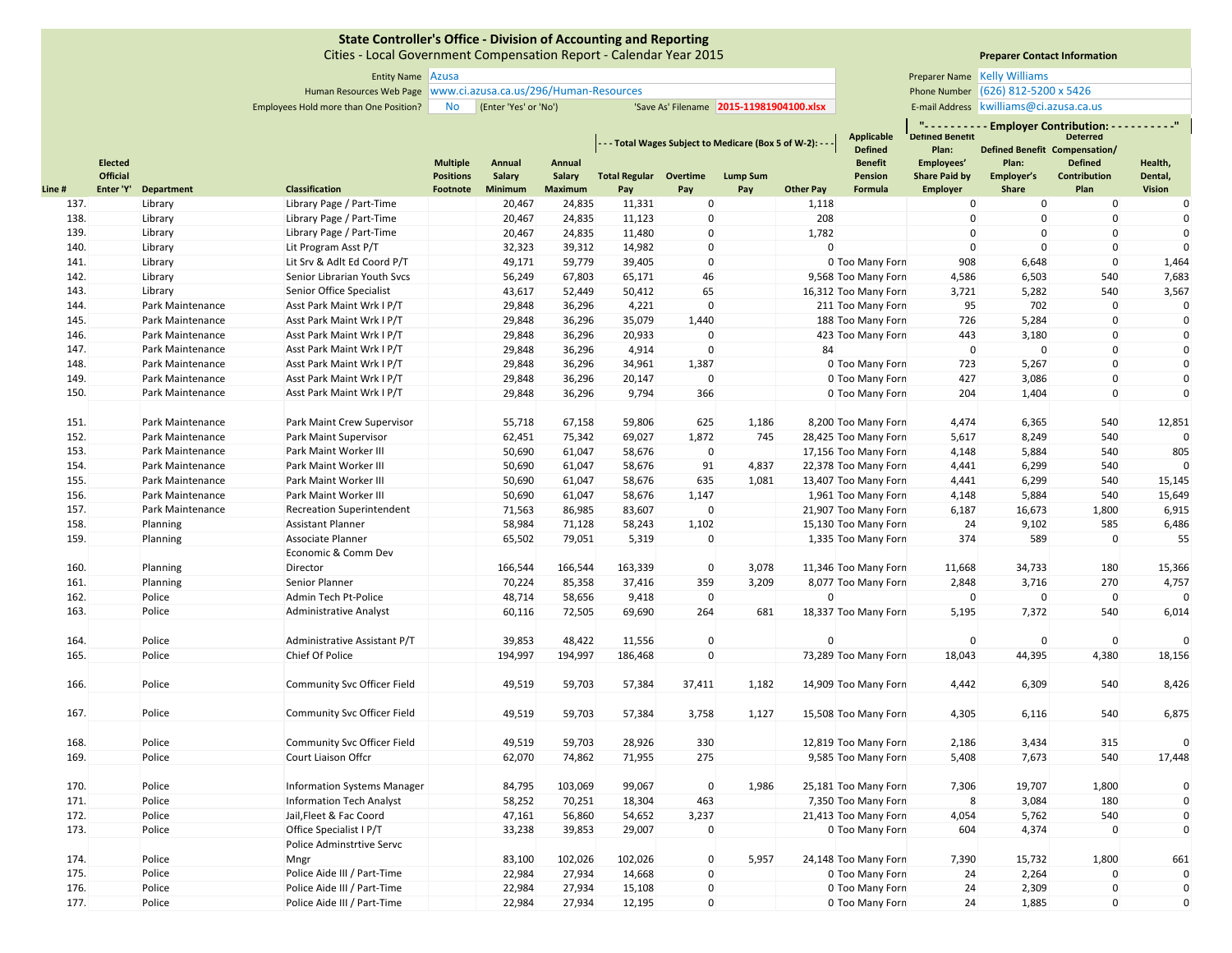Cities ‐ Local Government Compensation Report ‐ Calendar Year 2015

Entity Name Preparer Name Azusa Human Resources Web Page Phone Number www.ci.azusa.ca.us/296/Human‐Resources

**Preparer Contact Information**

**" ‐ ‐ ‐ ‐ ‐ ‐ ‐ ‐ ‐ ‐ Employer Contribution: ‐ ‐ ‐ ‐ ‐ ‐ ‐ ‐ ‐ ‐"**

**Preparer Name Kelly Williams** Phone Number (626) 812-5200 x 5426

Employees Hold more than One Position? No (Enter 'Yes' or 'No') 'Save As' Filename 2015-11981904100.xlsx | E-mail Address E-mail Address | kwilliams@ci.azusa.ca.us

|        | <b>Elected</b>  |                  |                                    | <b>Multiple</b>  | Annual  | Annual  |                               |             | - - - Total Wages Subject to Medicare (Box 5 of W-2): - - |                  | Applicable<br><b>Defined</b><br><b>Benefit</b> | <b>Detined Benetit</b><br>Plan:<br>Employees' | Plan:        | <b>Deterred</b><br>Defined Benefit Compensation/<br><b>Defined</b> | Health,            |
|--------|-----------------|------------------|------------------------------------|------------------|---------|---------|-------------------------------|-------------|-----------------------------------------------------------|------------------|------------------------------------------------|-----------------------------------------------|--------------|--------------------------------------------------------------------|--------------------|
|        | <b>Official</b> |                  |                                    | <b>Positions</b> | Salary  | Salary  | <b>Total Regular Overtime</b> |             | <b>Lump Sum</b>                                           |                  | Pension                                        | <b>Share Paid by</b>                          | Employer's   | Contribution                                                       | Dental,            |
| Line # | Enter 'Y'       | Department       | Classification                     | Footnote         | Minimum | Maximum | Pay                           | Pay         | Pay                                                       | <b>Other Pay</b> | Formula                                        | <b>Employer</b>                               | Share        | Plan                                                               | <b>Vision</b>      |
| 137.   |                 | Library          | Library Page / Part-Time           |                  | 20,467  | 24,835  | 11,331                        | $\mathbf 0$ |                                                           | 1,118            |                                                | $\mathbf 0$                                   | $\mathbf 0$  | $\mathbf{0}$                                                       | 0                  |
| 138.   |                 | Library          | Library Page / Part-Time           |                  | 20,467  | 24,835  | 11,123                        | $\mathbf 0$ |                                                           | 208              |                                                | $\mathbf 0$                                   | $\mathbf{0}$ | $\mathbf 0$                                                        | $\Omega$           |
| 139.   |                 | Library          | Library Page / Part-Time           |                  | 20,467  | 24,835  | 11,480                        | $\Omega$    |                                                           | 1,782            |                                                | $\mathbf 0$                                   | $\Omega$     | $\mathbf 0$                                                        | $\mathbf 0$        |
| 140.   |                 | Library          | Lit Program Asst P/T               |                  | 32,323  | 39,312  | 14,982                        | $\mathbf 0$ |                                                           | $\Omega$         |                                                | $\mathbf{0}$                                  | $\mathbf{0}$ | $\mathbf 0$                                                        | $\mathbf 0$        |
| 141.   |                 | Library          | Lit Srv & Adlt Ed Coord P/T        |                  | 49,171  | 59,779  | 39,405                        | $\mathbf 0$ |                                                           |                  | 0 Too Many Forn                                | 908                                           | 6,648        | $\mathbf 0$                                                        | 1,464              |
| 142.   |                 | Library          | Senior Librarian Youth Svcs        |                  | 56,249  | 67,803  | 65,171                        | 46          |                                                           |                  | 9,568 Too Many Forn                            | 4,586                                         | 6,503        | 540                                                                | 7,683              |
| 143.   |                 | Library          | Senior Office Specialist           |                  | 43,617  | 52,449  | 50,412                        | 65          |                                                           |                  | 16,312 Too Many Forn                           | 3,721                                         | 5,282        | 540                                                                | 3,567              |
| 144.   |                 | Park Maintenance | Asst Park Maint Wrk I P/T          |                  | 29,848  | 36,296  | 4,221                         | $\mathbf 0$ |                                                           |                  | 211 Too Many Forn                              | 95                                            | 702          | $\mathbf{0}$                                                       | $\pmb{0}$          |
| 145.   |                 | Park Maintenance | Asst Park Maint Wrk I P/T          |                  | 29,848  | 36,296  | 35,079                        | 1,440       |                                                           |                  | 188 Too Many Forn                              | 726                                           | 5,284        | $\mathbf 0$                                                        | $\mathbf 0$        |
| 146.   |                 | Park Maintenance | Asst Park Maint Wrk I P/T          |                  | 29,848  | 36,296  | 20,933                        | $\mathbf 0$ |                                                           |                  | 423 Too Many Forn                              | 443                                           | 3,180        | $\mathbf 0$                                                        | $\mathbf 0$        |
| 147.   |                 | Park Maintenance | Asst Park Maint Wrk I P/T          |                  | 29,848  | 36,296  | 4,914                         | $\mathbf 0$ |                                                           | 84               |                                                | $\mathbf 0$                                   | $\mathbf 0$  | $\mathbf 0$                                                        | $\mathbf 0$        |
| 148.   |                 | Park Maintenance | Asst Park Maint Wrk I P/T          |                  | 29,848  | 36,296  | 34,961                        | 1,387       |                                                           |                  | 0 Too Many Forn                                | 723                                           | 5,267        | $\mathbf 0$                                                        | $\pmb{0}$          |
| 149.   |                 | Park Maintenance | Asst Park Maint Wrk I P/T          |                  | 29,848  | 36,296  | 20,147                        | $\mathbf 0$ |                                                           |                  | 0 Too Many Forn                                | 427                                           | 3,086        | $\mathbf 0$                                                        | $\mathbf 0$        |
| 150.   |                 | Park Maintenance | Asst Park Maint Wrk I P/T          |                  | 29,848  | 36,296  | 9,794                         | 366         |                                                           |                  | 0 Too Many Forn                                | 204                                           | 1,404        | $\mathbf 0$                                                        | $\mathbf 0$        |
| 151.   |                 | Park Maintenance | Park Maint Crew Supervisor         |                  | 55,718  | 67,158  | 59,806                        | 625         | 1,186                                                     |                  | 8,200 Too Many Forn                            | 4,474                                         | 6,365        | 540                                                                | 12,851             |
| 152.   |                 | Park Maintenance | Park Maint Supervisor              |                  | 62,451  | 75,342  | 69,027                        | 1,872       | 745                                                       |                  | 28,425 Too Many Forn                           | 5,617                                         | 8,249        | 540                                                                | $\mathbf 0$        |
| 153.   |                 | Park Maintenance | Park Maint Worker III              |                  | 50,690  | 61,047  | 58,676                        | $\mathbf 0$ |                                                           |                  | 17,156 Too Many Forn                           | 4,148                                         | 5,884        | 540                                                                | 805                |
| 154.   |                 | Park Maintenance | Park Maint Worker III              |                  | 50,690  | 61,047  | 58,676                        | 91          | 4,837                                                     |                  | 22,378 Too Many Forn                           | 4,441                                         | 6,299        | 540                                                                | $\mathbf 0$        |
| 155.   |                 | Park Maintenance | Park Maint Worker III              |                  | 50,690  | 61,047  | 58,676                        | 635         | 1,081                                                     |                  | 13,407 Too Many Forn                           | 4,441                                         | 6,299        | 540                                                                | 15,145             |
| 156.   |                 | Park Maintenance | Park Maint Worker III              |                  | 50,690  | 61,047  | 58,676                        | 1,147       |                                                           |                  | 1,961 Too Many Forn                            | 4,148                                         | 5,884        | 540                                                                | 15,649             |
| 157.   |                 | Park Maintenance | <b>Recreation Superintendent</b>   |                  | 71,563  | 86,985  | 83,607                        | $\mathbf 0$ |                                                           |                  | 21,907 Too Many Forn                           | 6,187                                         | 16,673       | 1,800                                                              | 6,915              |
| 158.   |                 | Planning         | <b>Assistant Planner</b>           |                  | 58,984  | 71,128  | 58,243                        | 1,102       |                                                           |                  | 15,130 Too Many Forn                           | 24                                            | 9,102        | 585                                                                | 6,486              |
| 159.   |                 | Planning         | Associate Planner                  |                  | 65,502  | 79,051  | 5,319                         | $\mathbf 0$ |                                                           |                  | 1,335 Too Many Forn                            | 374                                           | 589          | $\mathbf 0$                                                        | 55                 |
|        |                 |                  | Economic & Comm Dev                |                  |         |         |                               |             |                                                           |                  |                                                |                                               |              |                                                                    |                    |
| 160.   |                 | Planning         | Director                           |                  | 166,544 | 166,544 | 163,339                       | $\mathbf 0$ | 3,078                                                     |                  | 11,346 Too Many Forn                           | 11,668                                        | 34,733       | 180                                                                | 15,366             |
| 161.   |                 | Planning         | Senior Planner                     |                  | 70,224  | 85,358  | 37,416                        | 359         | 3,209                                                     |                  | 8,077 Too Many Forn                            | 2,848                                         | 3,716        | 270                                                                | 4,757              |
| 162.   |                 | Police           | Admin Tech Pt-Police               |                  | 48,714  | 58,656  | 9,418                         | $\mathbf 0$ |                                                           | $\Omega$         |                                                | $\Omega$                                      | $\mathbf 0$  | $\mathbf 0$                                                        |                    |
| 163.   |                 | Police           | <b>Administrative Analyst</b>      |                  | 60,116  | 72,505  | 69,690                        | 264         | 681                                                       |                  | 18,337 Too Many Forn                           | 5,195                                         | 7,372        | 540                                                                | 6,014              |
|        |                 |                  |                                    |                  |         |         |                               |             |                                                           |                  |                                                |                                               |              |                                                                    |                    |
| 164.   |                 | Police           | Administrative Assistant P/T       |                  | 39,853  | 48,422  | 11,556                        | $\mathbf 0$ |                                                           | $\Omega$         |                                                | $\Omega$                                      | $\mathbf 0$  | $\mathbf{0}$                                                       |                    |
| 165.   |                 | Police           | Chief Of Police                    |                  | 194,997 | 194,997 | 186,468                       | $\mathbf 0$ |                                                           |                  | 73,289 Too Many Forn                           | 18,043                                        | 44,395       | 4,380                                                              | $\Omega$<br>18,156 |
|        |                 |                  |                                    |                  |         |         |                               |             |                                                           |                  |                                                |                                               |              |                                                                    |                    |
| 166.   |                 | Police           | <b>Community Svc Officer Field</b> |                  | 49,519  | 59,703  | 57,384                        | 37,411      | 1,182                                                     |                  | 14,909 Too Many Forn                           | 4,442                                         | 6,309        | 540                                                                | 8,426              |
| 167.   |                 | Police           | <b>Community Svc Officer Field</b> |                  | 49,519  | 59,703  | 57,384                        | 3,758       | 1,127                                                     |                  | 15,508 Too Many Forn                           | 4,305                                         | 6,116        | 540                                                                | 6,875              |
| 168.   |                 | Police           | Community Svc Officer Field        |                  | 49,519  | 59,703  | 28,926                        | 330         |                                                           |                  | 12,819 Too Many Forn                           | 2,186                                         | 3,434        | 315                                                                |                    |
| 169.   |                 | Police           | Court Liaison Offcr                |                  | 62,070  | 74,862  | 71,955                        | 275         |                                                           |                  | 9,585 Too Many Forn                            | 5,408                                         | 7,673        | 540                                                                | 17,448             |
|        |                 |                  |                                    |                  |         |         |                               |             |                                                           |                  |                                                |                                               |              |                                                                    |                    |
| 170.   |                 | Police           | <b>Information Systems Manager</b> |                  | 84,795  | 103,069 | 99,067                        | $\pmb{0}$   | 1,986                                                     |                  | 25,181 Too Many Forn                           | 7,306                                         | 19,707       | 1,800                                                              | $\pmb{0}$          |
| 171.   |                 | Police           | <b>Information Tech Analyst</b>    |                  | 58,252  | 70,251  | 18,304                        | 463         |                                                           |                  | 7,350 Too Many Forn                            | 8                                             | 3,084        | 180                                                                | $\mathbf 0$        |
| 172.   |                 | Police           | Jail, Fleet & Fac Coord            |                  | 47,161  | 56,860  | 54,652                        | 3,237       |                                                           |                  | 21,413 Too Many Forn                           | 4,054                                         | 5,762        | 540                                                                | $\pmb{0}$          |
| 173.   |                 | Police           | Office Specialist I P/T            |                  | 33,238  | 39,853  | 29,007                        | $\Omega$    |                                                           |                  | 0 Too Many Forn                                | 604                                           | 4,374        | $\Omega$                                                           | $\mathbf 0$        |
|        |                 |                  | Police Adminstrtive Servc          |                  |         |         |                               |             |                                                           |                  |                                                |                                               |              |                                                                    |                    |
| 174.   |                 | Police           | Mngr                               |                  | 83,100  | 102,026 | 102,026                       | $\mathbf 0$ | 5,957                                                     |                  | 24,148 Too Many Forn                           | 7,390                                         | 15,732       | 1,800                                                              | 661                |
| 175.   |                 | Police           | Police Aide III / Part-Time        |                  | 22,984  | 27,934  | 14,668                        | $\Omega$    |                                                           |                  | 0 Too Many Forn                                | 24                                            | 2,264        | $\mathbf{0}$                                                       | $\pmb{0}$          |
| 176.   |                 | Police           | Police Aide III / Part-Time        |                  | 22,984  | 27,934  | 15,108                        | $\mathbf 0$ |                                                           |                  | 0 Too Many Forn                                | 24                                            | 2,309        | $\mathbf 0$                                                        | $\pmb{0}$          |
| 177.   |                 | Police           | Police Aide III / Part-Time        |                  | 22,984  | 27,934  | 12,195                        | $\mathbf 0$ |                                                           |                  | 0 Too Many Forn                                | 24                                            | 1,885        | $\mathbf 0$                                                        | $\mathbf 0$        |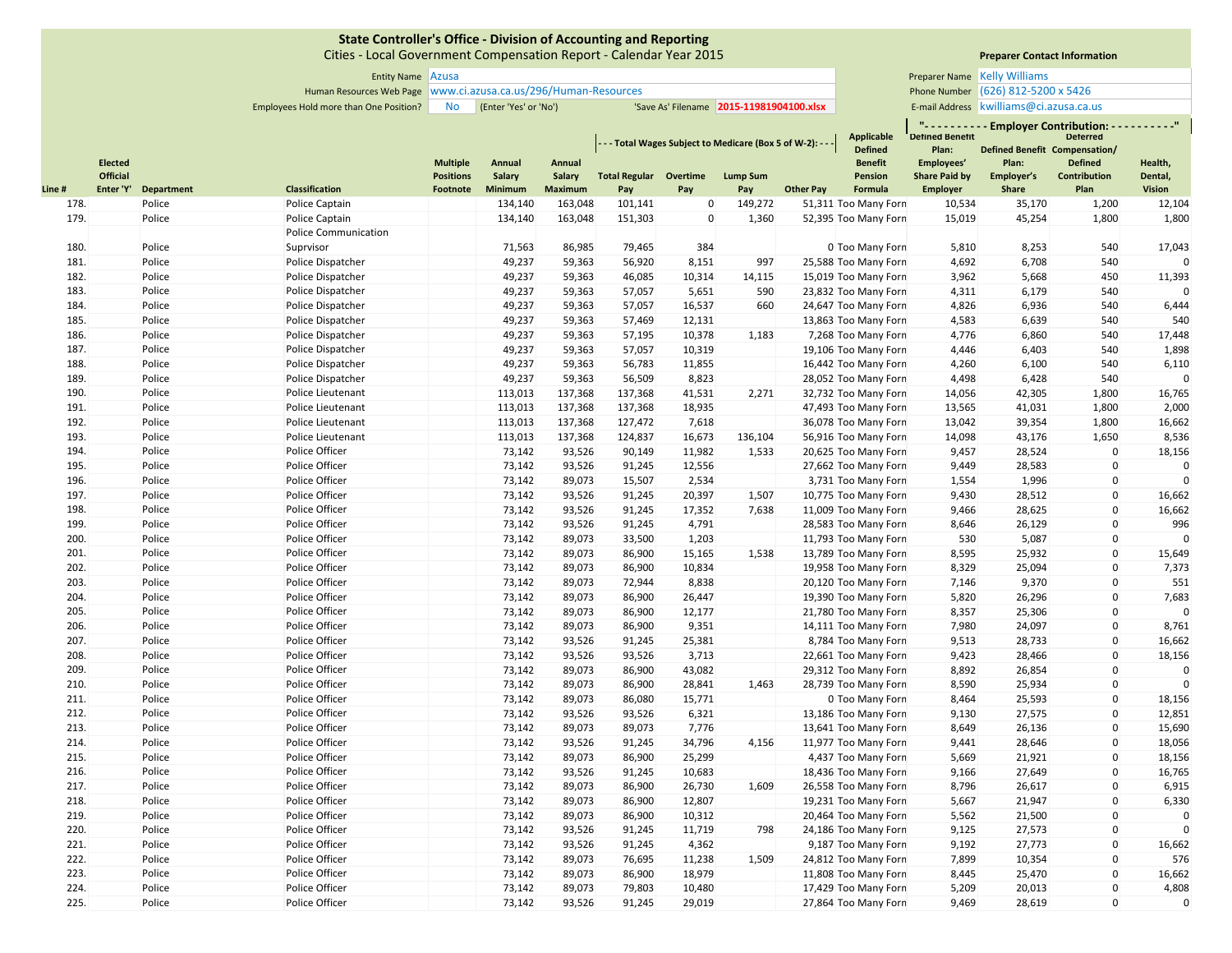Cities ‐ Local Government Compensation Report ‐ Calendar Year 2015

Entity Name Preparer Name Azusa Human Resources Web Page Phone Number www.ci.azusa.ca.us/296/Human‐Resources **Preparer Name Kelly Williams** Phone Number (626) 812-5200 x 5426

Employees Hold more than One Position? No (Enter 'Yes' or 'No') 'Save As' Filename 2015-11981904100.xlsx | E-mail Address E-mail Address kwilliams@ci.azusa.ca.us

|        |                                   |                   |                       |                                     |                  |                         |                               |             | - - - Total Wages Subject to Medicare (Box 5 of W-2): - - - |                  | <b>Applicable</b><br><b>Defined</b> | $\mathbf{u}$<br><b>Detined Benetit</b><br>Plan: | <b>Employer Contribution:</b><br><b>Defined Benefit Compensation/</b> | <b>Deterred</b>                |                    |
|--------|-----------------------------------|-------------------|-----------------------|-------------------------------------|------------------|-------------------------|-------------------------------|-------------|-------------------------------------------------------------|------------------|-------------------------------------|-------------------------------------------------|-----------------------------------------------------------------------|--------------------------------|--------------------|
|        | <b>Elected</b><br><b>Official</b> |                   |                       | <b>Multiple</b><br><b>Positions</b> | Annual<br>Salary | Annual<br><b>Salary</b> | <b>Total Regular Overtime</b> |             | Lump Sum                                                    |                  | <b>Benefit</b><br>Pension           | Employees'<br><b>Share Paid by</b>              | Plan:<br>Employer's                                                   | <b>Defined</b><br>Contribution | Health,<br>Dental, |
| Line # | Enter 'Y'                         | <b>Department</b> | <b>Classification</b> | Footnote                            | Minimum          | <b>Maximum</b>          | Pay                           | Pay         | Pay                                                         | <b>Other Pay</b> | Formula                             | <b>Employer</b>                                 | Share                                                                 | Plan                           | <b>Vision</b>      |
| 178.   |                                   | Police            | Police Captain        |                                     | 134,140          | 163,048                 | 101,141                       | $\mathbf 0$ | 149,272                                                     |                  | 51,311 Too Many Forn                | 10,534                                          | 35,170                                                                | 1,200                          | 12,104             |
| 179.   |                                   | Police            | Police Captain        |                                     | 134,140          | 163,048                 | 151,303                       | 0           | 1,360                                                       |                  | 52,395 Too Many Forn                | 15,019                                          | 45,254                                                                | 1,800                          | 1,800              |
|        |                                   |                   | Police Communication  |                                     |                  |                         |                               |             |                                                             |                  |                                     |                                                 |                                                                       |                                |                    |
| 180.   |                                   | Police            | Suprvisor             |                                     | 71,563           | 86,985                  | 79,465                        | 384         |                                                             |                  | 0 Too Many Forn                     | 5,810                                           | 8,253                                                                 | 540                            | 17,043             |
| 181.   |                                   | Police            | Police Dispatcher     |                                     | 49,237           | 59,363                  | 56,920                        | 8,151       | 997                                                         |                  | 25,588 Too Many Forn                | 4,692                                           | 6,708                                                                 | 540                            |                    |
| 182.   |                                   | Police            | Police Dispatcher     |                                     | 49,237           | 59,363                  | 46,085                        | 10,314      | 14,115                                                      |                  | 15,019 Too Many Forn                | 3,962                                           | 5,668                                                                 | 450                            | 11,393             |
| 183.   |                                   | Police            | Police Dispatcher     |                                     | 49,237           | 59,363                  | 57,057                        | 5,651       | 590                                                         |                  | 23,832 Too Many Forn                | 4,311                                           | 6,179                                                                 | 540                            | $\Omega$           |
| 184.   |                                   | Police            | Police Dispatcher     |                                     | 49,237           | 59,363                  | 57,057                        | 16,537      | 660                                                         |                  | 24,647 Too Many Forn                | 4,826                                           | 6,936                                                                 | 540                            | 6,444              |
| 185.   |                                   | Police            | Police Dispatcher     |                                     | 49,237           | 59,363                  | 57,469                        | 12,131      |                                                             |                  | 13,863 Too Many Forn                | 4,583                                           | 6,639                                                                 | 540                            | 540                |
| 186.   |                                   | Police            | Police Dispatcher     |                                     | 49,237           | 59,363                  | 57,195                        | 10,378      | 1,183                                                       |                  | 7,268 Too Many Forn                 | 4,776                                           | 6,860                                                                 | 540                            | 17,448             |
| 187.   |                                   | Police            | Police Dispatcher     |                                     | 49,237           | 59,363                  | 57,057                        | 10,319      |                                                             |                  | 19,106 Too Many Forn                | 4,446                                           | 6,403                                                                 | 540                            | 1,898              |
| 188.   |                                   | Police            | Police Dispatcher     |                                     | 49,237           | 59,363                  | 56,783                        | 11,855      |                                                             |                  | 16,442 Too Many Forn                | 4,260                                           | 6,100                                                                 | 540                            | 6,110              |
| 189.   |                                   | Police            | Police Dispatcher     |                                     | 49,237           | 59,363                  | 56,509                        | 8,823       |                                                             |                  | 28,052 Too Many Forn                | 4,498                                           | 6,428                                                                 | 540                            |                    |
| 190.   |                                   | Police            | Police Lieutenant     |                                     | 113,013          | 137,368                 | 137,368                       | 41,531      | 2,271                                                       |                  | 32,732 Too Many Forn                | 14,056                                          | 42,305                                                                | 1,800                          | 16,765             |
| 191.   |                                   | Police            | Police Lieutenant     |                                     | 113,013          | 137,368                 | 137,368                       | 18,935      |                                                             |                  | 47,493 Too Many Forn                | 13,565                                          | 41,031                                                                | 1,800                          | 2,000              |
| 192.   |                                   | Police            | Police Lieutenant     |                                     | 113,013          | 137,368                 | 127,472                       | 7,618       |                                                             |                  | 36,078 Too Many Forn                | 13,042                                          | 39,354                                                                | 1,800                          | 16,662             |
| 193.   |                                   | Police            | Police Lieutenant     |                                     | 113,013          | 137,368                 | 124,837                       | 16,673      | 136,104                                                     |                  | 56,916 Too Many Forn                | 14,098                                          | 43,176                                                                | 1,650                          | 8,536              |
| 194.   |                                   | Police            | Police Officer        |                                     | 73,142           | 93,526                  | 90,149                        | 11,982      | 1,533                                                       |                  | 20,625 Too Many Forn                | 9,457                                           | 28,524                                                                | $\mathbf 0$                    | 18,156             |
| 195.   |                                   | Police            | Police Officer        |                                     | 73,142           | 93,526                  | 91,245                        | 12,556      |                                                             |                  | 27,662 Too Many Forn                | 9,449                                           | 28,583                                                                | $\Omega$                       | $\mathbf{0}$       |
| 196.   |                                   | Police            | Police Officer        |                                     | 73,142           | 89,073                  | 15,507                        | 2,534       |                                                             |                  | 3,731 Too Many Forn                 | 1,554                                           | 1,996                                                                 | $\mathbf 0$                    | $\mathbf{0}$       |
| 197.   |                                   | Police            | Police Officer        |                                     | 73,142           | 93,526                  | 91,245                        | 20,397      | 1,507                                                       |                  | 10,775 Too Many Forn                | 9,430                                           | 28,512                                                                | $\Omega$                       | 16,662             |
| 198.   |                                   | Police            | Police Officer        |                                     | 73,142           | 93,526                  | 91,245                        | 17,352      | 7,638                                                       |                  | 11,009 Too Many Forn                | 9,466                                           | 28,625                                                                | $\Omega$                       | 16,662             |
| 199.   |                                   | Police            | Police Officer        |                                     | 73,142           | 93,526                  | 91,245                        | 4,791       |                                                             |                  | 28,583 Too Many Forn                | 8,646                                           | 26,129                                                                | $\mathbf 0$                    | 996                |
| 200.   |                                   | Police            | Police Officer        |                                     | 73,142           | 89,073                  | 33,500                        | 1,203       |                                                             |                  | 11,793 Too Many Forn                | 530                                             | 5,087                                                                 | $\mathbf 0$                    | $\Omega$           |
| 201.   |                                   | Police            | Police Officer        |                                     | 73,142           | 89,073                  | 86,900                        | 15,165      | 1,538                                                       |                  | 13,789 Too Many Forn                | 8,595                                           | 25,932                                                                | $\mathbf 0$                    | 15,649             |
| 202.   |                                   | Police            | Police Officer        |                                     | 73,142           | 89,073                  | 86,900                        | 10,834      |                                                             |                  | 19,958 Too Many Forn                | 8,329                                           | 25,094                                                                | $\mathbf 0$                    | 7,373              |
| 203.   |                                   | Police            | Police Officer        |                                     | 73,142           | 89,073                  | 72,944                        | 8,838       |                                                             |                  | 20,120 Too Many Forn                | 7,146                                           | 9,370                                                                 | $\Omega$                       | 551                |
| 204.   |                                   | Police            | Police Officer        |                                     | 73,142           | 89,073                  | 86,900                        | 26,447      |                                                             |                  | 19,390 Too Many Forn                | 5,820                                           | 26,296                                                                | $\mathbf 0$                    | 7,683              |
| 205.   |                                   | Police            | Police Officer        |                                     | 73,142           | 89,073                  | 86,900                        | 12,177      |                                                             |                  | 21,780 Too Many Forn                | 8,357                                           | 25,306                                                                | $\mathbf 0$                    | $\mathbf{0}$       |
| 206.   |                                   | Police            | Police Officer        |                                     | 73,142           | 89,073                  | 86,900                        | 9,351       |                                                             |                  | 14,111 Too Many Forn                | 7,980                                           | 24,097                                                                | $\Omega$                       | 8,761              |
| 207.   |                                   | Police            | Police Officer        |                                     | 73,142           | 93,526                  | 91,245                        | 25,381      |                                                             |                  | 8,784 Too Many Forn                 | 9,513                                           | 28,733                                                                | $\Omega$                       | 16,662             |
| 208.   |                                   | Police            | Police Officer        |                                     | 73,142           | 93,526                  | 93,526                        | 3,713       |                                                             |                  | 22,661 Too Many Forn                | 9,423                                           | 28,466                                                                | $\Omega$                       | 18,156             |
| 209.   |                                   | Police            | Police Officer        |                                     | 73,142           | 89,073                  | 86,900                        | 43,082      |                                                             |                  | 29,312 Too Many Forn                | 8,892                                           | 26,854                                                                | $\mathbf 0$                    | 0                  |
| 210.   |                                   | Police            | Police Officer        |                                     | 73,142           | 89,073                  | 86,900                        | 28,841      | 1,463                                                       |                  | 28,739 Too Many Forn                | 8,590                                           | 25,934                                                                | $\mathbf 0$                    | $\mathbf{0}$       |
| 211.   |                                   | Police            | Police Officer        |                                     | 73,142           | 89,073                  | 86,080                        | 15,771      |                                                             |                  | 0 Too Many Forn                     | 8,464                                           | 25,593                                                                | $\Omega$                       | 18,156             |
| 212.   |                                   | Police            | Police Officer        |                                     | 73,142           | 93,526                  | 93,526                        | 6,321       |                                                             |                  | 13,186 Too Many Forn                | 9,130                                           | 27,575                                                                | $\Omega$                       | 12,851             |
| 213.   |                                   | Police            | Police Officer        |                                     | 73,142           | 89,073                  | 89,073                        | 7,776       |                                                             |                  | 13,641 Too Many Forn                | 8,649                                           | 26,136                                                                | $\Omega$                       | 15,690             |
| 214.   |                                   | Police            | Police Officer        |                                     | 73,142           | 93,526                  | 91,245                        | 34,796      | 4,156                                                       |                  | 11,977 Too Many Forn                | 9,441                                           | 28,646                                                                | $\mathbf 0$                    | 18,056             |
| 215.   |                                   | Police            | Police Officer        |                                     | 73,142           | 89,073                  | 86,900                        | 25,299      |                                                             |                  | 4,437 Too Many Forn                 | 5,669                                           | 21,921                                                                | $\Omega$                       | 18,156             |
| 216.   |                                   | Police            | Police Officer        |                                     | 73,142           | 93,526                  | 91,245                        | 10,683      |                                                             |                  | 18,436 Too Many Forn                | 9,166                                           | 27,649                                                                | $\mathbf{0}$                   | 16,765             |
| 217.   |                                   | Police            | Police Officer        |                                     | 73,142           | 89,073                  | 86,900                        | 26,730      | 1,609                                                       |                  | 26,558 Too Many Forn                | 8,796                                           | 26,617                                                                | 0                              | 6,915              |
| 218.   |                                   | Police            | Police Officer        |                                     | 73,142           | 89,073                  | 86,900                        | 12,807      |                                                             |                  | 19,231 Too Many Forn                | 5,667                                           | 21,947                                                                | $\mathbf 0$                    | 6,330              |
| 219.   |                                   | Police            | Police Officer        |                                     | 73,142           | 89,073                  | 86,900                        | 10,312      |                                                             |                  | 20,464 Too Many Forn                | 5,562                                           | 21,500                                                                | 0                              | $\Omega$           |
| 220.   |                                   | Police            | Police Officer        |                                     | 73,142           | 93,526                  | 91,245                        | 11,719      | 798                                                         |                  | 24,186 Too Many Forn                | 9,125                                           | 27,573                                                                | $\Omega$                       |                    |
| 221.   |                                   | Police            | Police Officer        |                                     | 73,142           | 93,526                  | 91,245                        | 4,362       |                                                             |                  | 9,187 Too Many Forn                 | 9,192                                           | 27,773                                                                | $\mathbf 0$                    | 16,662             |
| 222.   |                                   | Police            | Police Officer        |                                     | 73,142           | 89,073                  | 76,695                        | 11,238      | 1,509                                                       |                  | 24,812 Too Many Forn                | 7,899                                           | 10,354                                                                | $\mathbf 0$                    | 576                |
| 223.   |                                   | Police            | Police Officer        |                                     | 73,142           | 89,073                  | 86,900                        | 18,979      |                                                             |                  | 11,808 Too Many Forn                | 8,445                                           | 25,470                                                                | $\Omega$                       | 16,662             |
| 224.   |                                   | Police            | Police Officer        |                                     | 73,142           | 89,073                  | 79,803                        | 10,480      |                                                             |                  | 17,429 Too Many Forn                | 5,209                                           | 20,013                                                                | $\Omega$                       | 4,808              |
| 225.   |                                   | Police            | Police Officer        |                                     | 73,142           | 93,526                  | 91,245                        | 29,019      |                                                             |                  | 27,864 Too Many Forn                | 9,469                                           | 28,619                                                                | $\Omega$                       | $\mathbf{0}$       |

**Preparer Contact Information**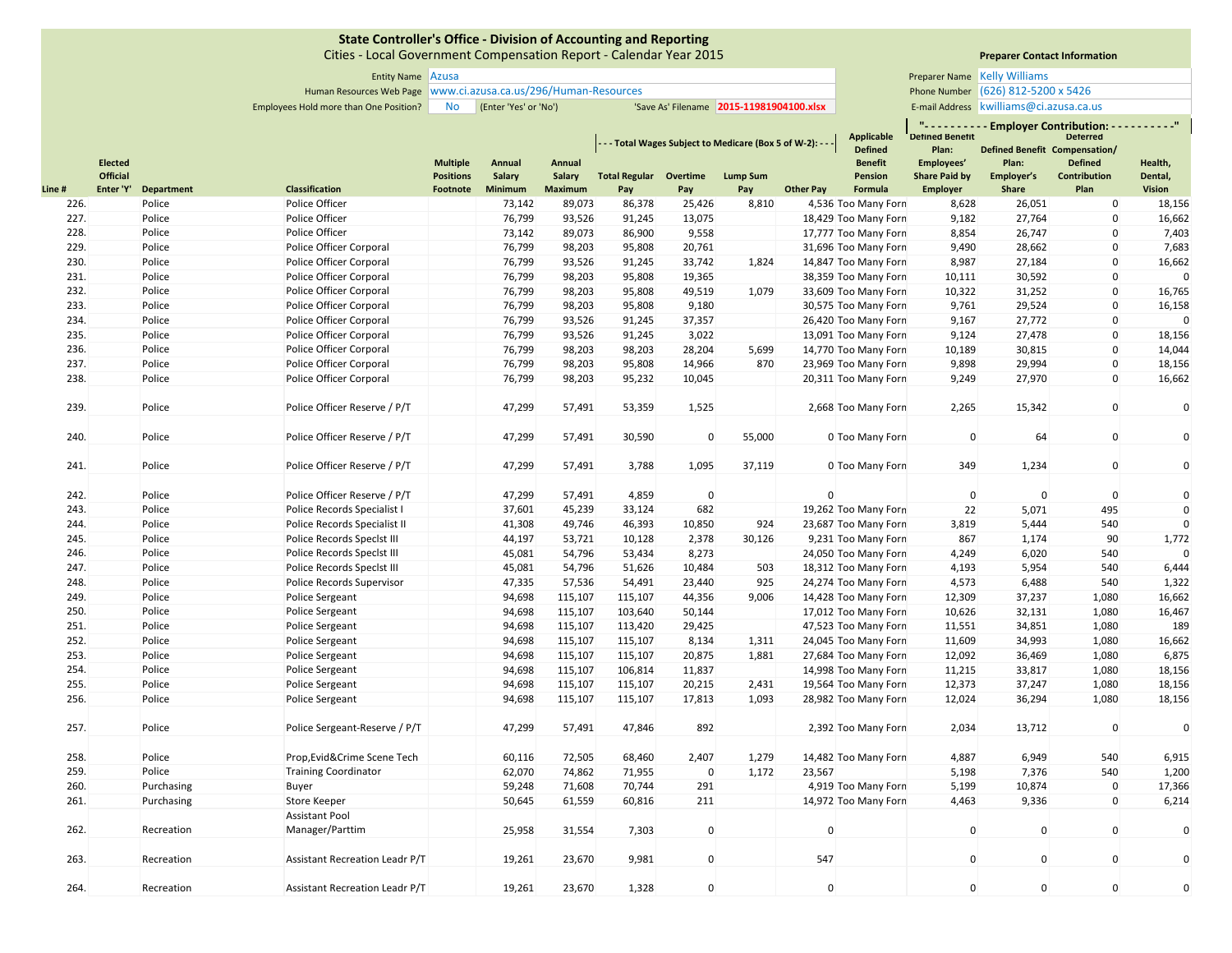Cities ‐ Local Government Compensation Report ‐ Calendar Year 2015

# **Preparer Contact Information**

Human Resources Web Page Phone Number www.ci.azusa.ca.us/296/Human‐Resources **Preparer Name Kelly Williams** Phone Number (626) 812-5200 x 5426

|       |                                   |            |                                |                                     |                  |                  |                               |             | - - Total Wages Subject to Medicare (Box 5 of W-2): - - |                  | <b>Applicable</b><br><b>Defined</b> | $\mathbf{u}$<br><b>Detined Benetit</b><br>Plan: | Defined Benefit Compensation/ | <b>Employer Contribution: -</b><br><b>Deterred</b> |                    |
|-------|-----------------------------------|------------|--------------------------------|-------------------------------------|------------------|------------------|-------------------------------|-------------|---------------------------------------------------------|------------------|-------------------------------------|-------------------------------------------------|-------------------------------|----------------------------------------------------|--------------------|
|       | <b>Elected</b><br><b>Official</b> |            |                                | <b>Multiple</b><br><b>Positions</b> | Annual<br>Salary | Annual<br>Salary | <b>Total Regular Overtime</b> |             | <b>Lump Sum</b>                                         |                  | <b>Benefit</b><br><b>Pension</b>    | Employees'<br><b>Share Paid by</b>              | Plan:<br>Employer's           | <b>Defined</b><br><b>Contribution</b>              | Health,<br>Dental, |
| Line# | Enter 'Y'                         | Department | <b>Classification</b>          | Footnote                            | Minimum          | Maximum          | Pay                           | Pay         | Pay                                                     | <b>Other Pay</b> | Formula                             | <b>Employer</b>                                 | <b>Share</b>                  | Plan                                               | <b>Vision</b>      |
| 226.  |                                   | Police     | Police Officer                 |                                     | 73,142           | 89,073           | 86,378                        | 25,426      | 8,810                                                   |                  | 4,536 Too Many Forn                 | 8,628                                           | 26,051                        | $\mathbf 0$                                        | 18,156             |
| 227.  |                                   | Police     | Police Officer                 |                                     | 76,799           | 93,526           | 91,245                        | 13,075      |                                                         |                  | 18,429 Too Many Forn                | 9,182                                           | 27,764                        | $\pmb{0}$                                          | 16,662             |
| 228.  |                                   | Police     | Police Officer                 |                                     | 73,142           | 89,073           | 86,900                        | 9,558       |                                                         |                  | 17,777 Too Many Forn                | 8,854                                           | 26,747                        | $\pmb{0}$                                          | 7,403              |
| 229.  |                                   | Police     | Police Officer Corporal        |                                     | 76,799           | 98,203           | 95,808                        | 20,761      |                                                         |                  | 31,696 Too Many Forn                | 9,490                                           | 28,662                        | $\mathbf{0}$                                       | 7,683              |
| 230.  |                                   | Police     | Police Officer Corporal        |                                     | 76,799           | 93,526           | 91,245                        | 33,742      | 1,824                                                   |                  | 14,847 Too Many Forn                | 8,987                                           | 27,184                        | $\mathbf{0}$                                       | 16,662             |
| 231.  |                                   | Police     | Police Officer Corporal        |                                     | 76,799           | 98,203           | 95,808                        | 19,365      |                                                         |                  | 38,359 Too Many Forn                | 10,111                                          | 30,592                        | $\mathbf 0$                                        |                    |
| 232.  |                                   | Police     | Police Officer Corporal        |                                     | 76,799           | 98,203           | 95,808                        | 49,519      | 1,079                                                   |                  | 33,609 Too Many Forn                | 10,322                                          | 31,252                        | $\mathbf 0$                                        | 16,765             |
| 233.  |                                   | Police     | Police Officer Corporal        |                                     | 76,799           | 98,203           | 95,808                        | 9,180       |                                                         |                  | 30,575 Too Many Forn                | 9,761                                           | 29,524                        | $\mathbf 0$                                        | 16,158             |
| 234.  |                                   | Police     | Police Officer Corporal        |                                     | 76,799           | 93,526           | 91,245                        | 37,357      |                                                         |                  | 26,420 Too Many Forn                | 9,167                                           | 27,772                        | $\mathbf 0$                                        |                    |
| 235.  |                                   | Police     | Police Officer Corporal        |                                     | 76,799           | 93,526           | 91,245                        | 3,022       |                                                         |                  | 13,091 Too Many Forn                | 9,124                                           | 27,478                        | $\mathbf 0$                                        | 18,156             |
| 236.  |                                   | Police     | Police Officer Corporal        |                                     | 76,799           | 98,203           | 98,203                        | 28,204      | 5,699                                                   |                  | 14,770 Too Many Forn                | 10,189                                          | 30,815                        | $\mathbf 0$                                        | 14,044             |
| 237.  |                                   | Police     | Police Officer Corporal        |                                     | 76,799           | 98,203           | 95,808                        | 14,966      | 870                                                     |                  | 23,969 Too Many Forn                | 9,898                                           | 29,994                        | $\pmb{0}$                                          | 18,156             |
| 238.  |                                   | Police     | Police Officer Corporal        |                                     | 76,799           | 98,203           | 95,232                        | 10,045      |                                                         |                  | 20,311 Too Many Forn                | 9,249                                           | 27,970                        | $\mathbf 0$                                        | 16,662             |
| 239.  |                                   | Police     | Police Officer Reserve / P/T   |                                     | 47,299           | 57,491           | 53,359                        | 1,525       |                                                         |                  | 2,668 Too Many Forn                 | 2,265                                           | 15,342                        | $\mathbf 0$                                        | $\mathsf{C}$       |
| 240.  |                                   | Police     | Police Officer Reserve / P/T   |                                     | 47,299           | 57,491           | 30,590                        | $\mathbf 0$ | 55,000                                                  |                  | 0 Too Many Forn                     | $\overline{0}$                                  | 64                            | $\mathbf 0$                                        | $\mathsf{C}$       |
| 241.  |                                   | Police     | Police Officer Reserve / P/T   |                                     | 47,299           | 57,491           | 3,788                         | 1,095       | 37,119                                                  |                  | 0 Too Many Forn                     | 349                                             | 1,234                         | $\mathbf 0$                                        | $\mathsf{C}$       |
| 242.  |                                   | Police     | Police Officer Reserve / P/T   |                                     | 47,299           | 57,491           | 4,859                         | $\mathbf 0$ |                                                         | $\mathbf{0}$     |                                     | $\mathbf 0$                                     | $\mathbf 0$                   | $\mathbf 0$                                        | $\mathsf{C}$       |
| 243.  |                                   | Police     | Police Records Specialist I    |                                     | 37,601           | 45,239           | 33,124                        | 682         |                                                         |                  | 19,262 Too Many Forn                | 22                                              | 5,071                         | 495                                                |                    |
| 244.  |                                   | Police     | Police Records Specialist II   |                                     | 41,308           | 49,746           | 46,393                        | 10,850      | 924                                                     |                  | 23,687 Too Many Forn                | 3,819                                           | 5,444                         | 540                                                |                    |
| 245.  |                                   | Police     | Police Records Specist III     |                                     | 44,197           | 53,721           | 10,128                        | 2,378       | 30,126                                                  |                  | 9,231 Too Many Forn                 | 867                                             | 1,174                         | 90                                                 | 1,772              |
| 246.  |                                   | Police     | Police Records Specist III     |                                     | 45,081           | 54,796           | 53,434                        | 8,273       |                                                         |                  | 24,050 Too Many Forn                | 4,249                                           | 6,020                         | 540                                                |                    |
| 247.  |                                   | Police     | Police Records Speclst III     |                                     | 45,081           | 54,796           | 51,626                        | 10,484      | 503                                                     |                  | 18,312 Too Many Forn                | 4,193                                           | 5,954                         | 540                                                | 6,444              |
| 248.  |                                   | Police     | Police Records Supervisor      |                                     | 47,335           | 57,536           | 54,491                        | 23,440      | 925                                                     |                  | 24,274 Too Many Forn                | 4,573                                           | 6,488                         | 540                                                | 1,322              |
| 249.  |                                   | Police     | Police Sergeant                |                                     | 94,698           | 115,107          | 115,107                       | 44,356      | 9,006                                                   |                  | 14,428 Too Many Forn                | 12,309                                          | 37,237                        | 1,080                                              | 16,662             |
| 250.  |                                   | Police     | Police Sergeant                |                                     | 94,698           | 115,107          | 103,640                       | 50,144      |                                                         |                  | 17,012 Too Many Forn                | 10,626                                          | 32,131                        | 1,080                                              | 16,467             |
| 251.  |                                   | Police     | Police Sergeant                |                                     | 94,698           | 115,107          | 113,420                       | 29,425      |                                                         |                  | 47,523 Too Many Forn                | 11,551                                          | 34,851                        | 1,080                                              | 189                |
| 252.  |                                   | Police     | Police Sergeant                |                                     | 94,698           | 115,107          | 115,107                       | 8,134       | 1,311                                                   |                  | 24,045 Too Many Forn                | 11,609                                          | 34,993                        | 1,080                                              | 16,662             |
| 253.  |                                   | Police     | Police Sergeant                |                                     | 94,698           | 115,107          | 115,107                       | 20,875      | 1,881                                                   |                  | 27,684 Too Many Forn                | 12,092                                          | 36,469                        | 1,080                                              | 6,875              |
| 254.  |                                   | Police     | Police Sergeant                |                                     | 94,698           | 115,107          | 106,814                       | 11,837      |                                                         |                  | 14,998 Too Many Forn                | 11,215                                          | 33,817                        | 1,080                                              | 18,156             |
| 255.  |                                   | Police     | Police Sergeant                |                                     | 94,698           | 115,107          | 115,107                       | 20,215      | 2,431                                                   |                  | 19,564 Too Many Forn                | 12,373                                          | 37,247                        | 1,080                                              | 18,156             |
| 256.  |                                   | Police     | Police Sergeant                |                                     | 94,698           | 115,107          | 115,107                       | 17,813      | 1,093                                                   |                  | 28,982 Too Many Forn                | 12,024                                          | 36,294                        | 1,080                                              | 18,156             |
| 257.  |                                   | Police     | Police Sergeant-Reserve / P/T  |                                     | 47,299           | 57,491           | 47,846                        | 892         |                                                         |                  | 2,392 Too Many Forn                 | 2,034                                           | 13,712                        | $\mathbf 0$                                        | $\mathsf{C}$       |
| 258.  |                                   | Police     | Prop, Evid& Crime Scene Tech   |                                     | 60,116           | 72,505           | 68,460                        | 2,407       | 1,279                                                   |                  | 14,482 Too Many Forn                | 4,887                                           | 6,949                         | 540                                                | 6,915              |
| 259.  |                                   | Police     | <b>Training Coordinator</b>    |                                     | 62,070           | 74,862           | 71,955                        | $\mathbf 0$ | 1,172                                                   | 23,567           |                                     | 5,198                                           | 7,376                         | 540                                                | 1,200              |
| 260.  |                                   | Purchasing | Buyer                          |                                     | 59,248           | 71,608           | 70,744                        | 291         |                                                         |                  | 4,919 Too Many Forn                 | 5,199                                           | 10,874                        | $\mathbf 0$                                        | 17,366             |
| 261.  |                                   | Purchasing | Store Keeper                   |                                     | 50,645           | 61,559           | 60,816                        | 211         |                                                         |                  | 14,972 Too Many Forn                | 4,463                                           | 9,336                         | $\mathbf 0$                                        | 6,214              |
|       |                                   |            | Assistant Pool                 |                                     |                  |                  |                               |             |                                                         |                  |                                     |                                                 |                               |                                                    |                    |
| 262.  |                                   | Recreation | Manager/Parttim                |                                     | 25,958           | 31,554           | 7,303                         | $\mathbf 0$ |                                                         | $\Omega$         |                                     | $\mathbf 0$                                     | $\mathbf 0$                   | $\mathbf 0$                                        | $\mathsf{C}$       |
| 263.  |                                   | Recreation | Assistant Recreation Leadr P/T |                                     | 19,261           | 23,670           | 9,981                         | $\Omega$    |                                                         | 547              |                                     | $\mathbf{0}$                                    | $\mathbf{0}$                  | $\mathbf{0}$                                       | $\mathcal{C}$      |

Leadr P/T 19,261 23,670 1,328 0 0 0000

264. Recreation

Assistant Recreation Leadr P/T

Entity Name Preparer Name Azusa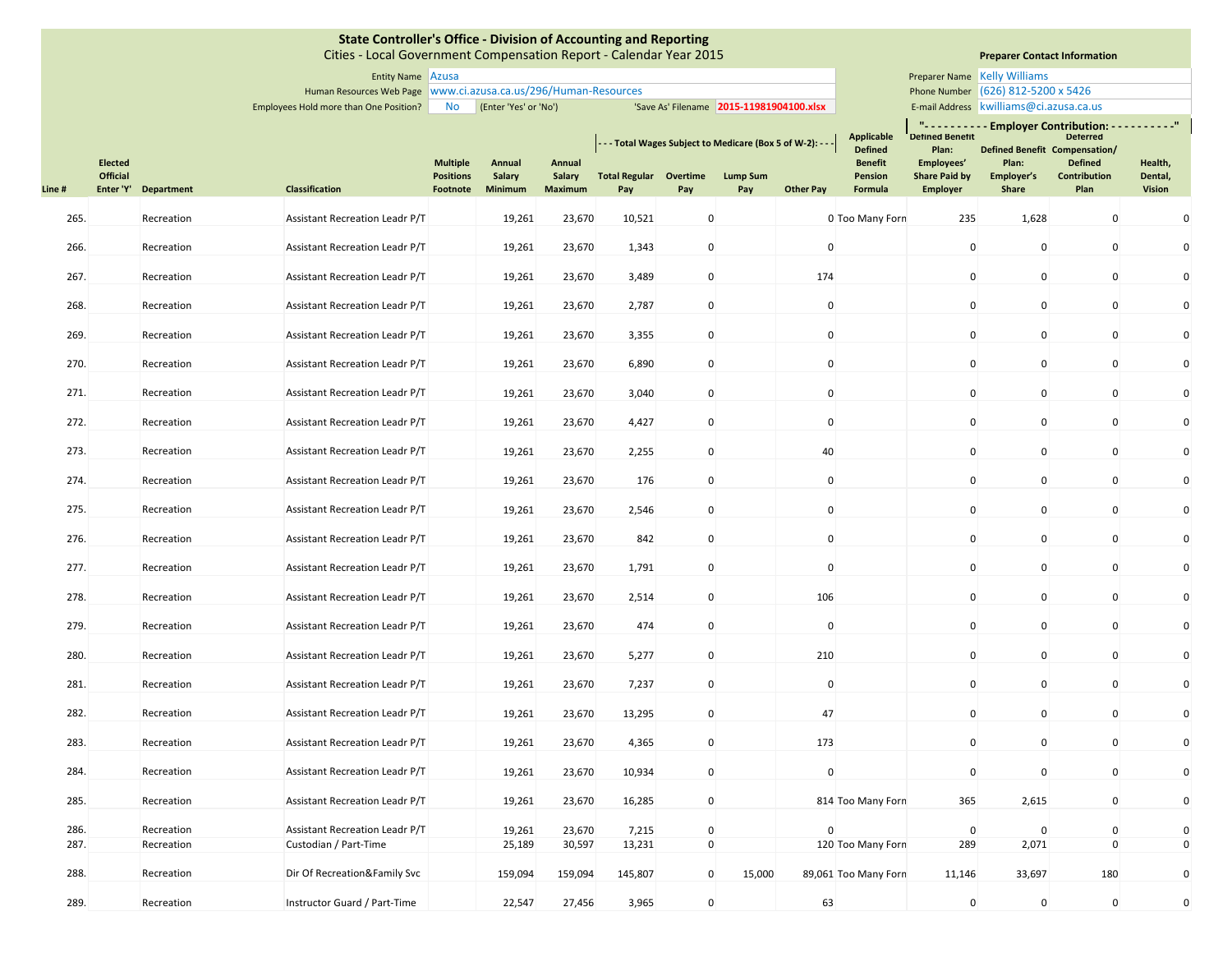|              |                            |                          | State Controller's Office - Division of Accounting and Reporting<br>Cities - Local Government Compensation Report - Calendar Year 2015 |                                     |                         |                         |                                                         |                            |                                          |                             |                                     |                                    |                                         | <b>Preparer Contact Information</b>                                                                |                            |
|--------------|----------------------------|--------------------------|----------------------------------------------------------------------------------------------------------------------------------------|-------------------------------------|-------------------------|-------------------------|---------------------------------------------------------|----------------------------|------------------------------------------|-----------------------------|-------------------------------------|------------------------------------|-----------------------------------------|----------------------------------------------------------------------------------------------------|----------------------------|
|              |                            |                          | Entity Name Azusa                                                                                                                      |                                     |                         |                         |                                                         |                            |                                          |                             |                                     |                                    | Preparer Name Kelly Williams            |                                                                                                    |                            |
|              |                            |                          | Human Resources Web Page   www.ci.azusa.ca.us/296/Human-Resources                                                                      |                                     |                         |                         |                                                         |                            |                                          |                             |                                     |                                    | Phone Number (626) 812-5200 x 5426      |                                                                                                    |                            |
|              |                            |                          | Employees Hold more than One Position?                                                                                                 | No                                  | (Enter 'Yes' or 'No')   |                         |                                                         |                            | 'Save As' Filename 2015-11981904100.xlsx |                             |                                     |                                    | E-mail Address kwilliams@ci.azusa.ca.us |                                                                                                    |                            |
|              |                            |                          |                                                                                                                                        |                                     |                         |                         | --- Total Wages Subject to Medicare (Box 5 of W-2): --- |                            |                                          |                             | <b>Applicable</b><br><b>Defined</b> | <b>Defined Benefit</b><br>Plan:    |                                         | "---------- Employer Contribution: ----------"<br><b>Deterred</b><br>Defined Benefit Compensation/ |                            |
|              | <b>Elected</b><br>Official |                          |                                                                                                                                        | <b>Multiple</b><br><b>Positions</b> | Annual<br><b>Salary</b> | Annual<br><b>Salary</b> | <b>Total Regular Overtime</b>                           |                            | <b>Lump Sum</b>                          |                             | <b>Benefit</b><br>Pension           | Employees'<br><b>Share Paid by</b> | Plan:<br>Employer's                     | <b>Defined</b><br>Contribution                                                                     | Health,<br>Dental,         |
| Line#        | Enter 'Y'                  | Department               | <b>Classification</b>                                                                                                                  | Footnote                            | Minimum                 | <b>Maximum</b>          | Pay                                                     | Pay                        | Pay                                      | <b>Other Pay</b>            | Formula                             | <b>Employer</b>                    | Share                                   | Plan                                                                                               | <b>Vision</b>              |
| 265.         |                            | Recreation               | Assistant Recreation Leadr P/T                                                                                                         |                                     | 19,261                  | 23,670                  | 10,521                                                  | $\pmb{0}$                  |                                          |                             | 0 Too Many Forn                     | 235                                | 1,628                                   | $\mathbf 0$                                                                                        | $\mathbf 0$                |
| 266.         |                            | Recreation               | Assistant Recreation Leadr P/T                                                                                                         |                                     | 19,261                  | 23,670                  | 1,343                                                   | $\mathbf 0$                |                                          | $\mathbf 0$                 |                                     | $\mathbf 0$                        | $\mathbf 0$                             | 0                                                                                                  | $\mathbf 0$                |
| 267.         |                            | Recreation               | Assistant Recreation Leadr P/T                                                                                                         |                                     | 19,261                  | 23,670                  | 3,489                                                   | $\mathbf 0$                |                                          | 174                         |                                     | $\mathbf 0$                        | $\mathbf 0$                             | $\mathbf 0$                                                                                        | $\mathbf 0$                |
| 268.         |                            | Recreation               | Assistant Recreation Leadr P/T                                                                                                         |                                     | 19,261                  | 23,670                  | 2,787                                                   | $\mathbf 0$                |                                          | $\mathbf 0$                 |                                     | $\mathbf 0$                        | $\mathbf 0$                             | $\mathbf 0$                                                                                        | $\mathbf 0$                |
| 269.         |                            | Recreation               | Assistant Recreation Leadr P/T                                                                                                         |                                     | 19,261                  | 23,670                  | 3,355                                                   | $\mathbf 0$                |                                          | $\mathbf 0$                 |                                     | $\mathbf 0$                        | $\mathbf 0$                             | 0                                                                                                  | $\mathbf 0$                |
| 270.         |                            | Recreation               | Assistant Recreation Leadr P/T                                                                                                         |                                     | 19,261                  | 23,670                  | 6,890                                                   | $\mathbf 0$                |                                          | 0                           |                                     | $\mathbf 0$                        | $\mathbf 0$                             | $\mathbf 0$                                                                                        | $\mathbf 0$                |
| 271.         |                            | Recreation               | Assistant Recreation Leadr P/T                                                                                                         |                                     | 19,261                  | 23,670                  | 3,040                                                   | $\mathbf 0$                |                                          | $\mathbf 0$                 |                                     | $\mathbf 0$                        | $\mathbf 0$                             | $\mathbf 0$                                                                                        | $\mathbf 0$                |
| 272.         |                            | Recreation               | Assistant Recreation Leadr P/T                                                                                                         |                                     | 19,261                  | 23,670                  | 4,427                                                   | $\mathbf 0$                |                                          | $\mathbf{0}$                |                                     | $\mathbf 0$                        | $\mathbf 0$                             | $\mathbf 0$                                                                                        | $\mathbf 0$                |
| 273.         |                            | Recreation               | Assistant Recreation Leadr P/T                                                                                                         |                                     | 19,261                  | 23,670                  | 2,255                                                   | $\mathbf 0$                |                                          | 40                          |                                     | $\mathbf 0$                        | $\mathbf 0$                             | $\mathbf 0$                                                                                        | $\mathbf 0$                |
| 274.         |                            | Recreation               | Assistant Recreation Leadr P/T                                                                                                         |                                     | 19,261                  | 23,670                  | 176                                                     | $\pmb{0}$                  |                                          | $\mathbf 0$                 |                                     | $\mathbf 0$                        | $\mathbf 0$                             | $\mathbf 0$                                                                                        | $\mathbf 0$                |
| 275.<br>276. |                            | Recreation               | Assistant Recreation Leadr P/T                                                                                                         |                                     | 19,261                  | 23,670<br>23,670        | 2,546<br>842                                            | $\mathbf 0$<br>$\mathbf 0$ |                                          | $\mathbf 0$<br>$\mathbf{0}$ |                                     | $\mathbf 0$<br>$\mathbf 0$         | $\mathbf 0$<br>$\mathbf 0$              | $\mathbf 0$<br>$\mathbf{0}$                                                                        | $\mathbf 0$<br>$\mathbf 0$ |
| 277.         |                            | Recreation<br>Recreation | Assistant Recreation Leadr P/T<br>Assistant Recreation Leadr P/T                                                                       |                                     | 19,261<br>19,261        | 23,670                  | 1,791                                                   | $\mathbf 0$                |                                          | $\mathbf{0}$                |                                     | $\mathbf 0$                        | $\mathbf 0$                             | $\mathbf 0$                                                                                        | $\mathbf 0$                |
| 278.         |                            | Recreation               | Assistant Recreation Leadr P/T                                                                                                         |                                     | 19,261                  | 23,670                  | 2,514                                                   | $\mathbf 0$                |                                          | 106                         |                                     | $\mathbf 0$                        | $\mathbf 0$                             | 0                                                                                                  | $\mathbf 0$                |
| 279.         |                            | Recreation               | Assistant Recreation Leadr P/T                                                                                                         |                                     | 19,261                  | 23,670                  | 474                                                     | $\mathbf 0$                |                                          | $\mathbf 0$                 |                                     | $\mathbf 0$                        | $\mathbf 0$                             | $\mathbf 0$                                                                                        | $\mathbf 0$                |
| 280.         |                            | Recreation               | Assistant Recreation Leadr P/T                                                                                                         |                                     | 19,261                  | 23,670                  | 5,277                                                   | $\mathbf 0$                |                                          | 210                         |                                     | $\mathbf 0$                        | $\mathbf 0$                             | $\mathbf 0$                                                                                        | $\mathbf 0$                |
| 281.         |                            | Recreation               | Assistant Recreation Leadr P/T                                                                                                         |                                     | 19,261                  | 23,670                  | 7,237                                                   | $\mathbf 0$                |                                          | $\mathbf{0}$                |                                     | $\mathbf 0$                        | $\mathbf 0$                             | $\mathbf 0$                                                                                        | $\mathbf 0$                |
| 282.         |                            | Recreation               | Assistant Recreation Leadr P/T                                                                                                         |                                     | 19,261                  | 23,670                  | 13,295                                                  | $\mathbf 0$                |                                          | 47                          |                                     | $\mathbf 0$                        | $\mathbf 0$                             | $\mathbf 0$                                                                                        | $\mathbf 0$                |
| 283.         |                            | Recreation               | Assistant Recreation Leadr P/T                                                                                                         |                                     | 19,261                  | 23,670                  | 4,365                                                   | $\mathbf 0$                |                                          | 173                         |                                     | $\mathbf 0$                        | $\mathbf{0}$                            | $\mathbf 0$                                                                                        | $\mathbf 0$                |
| 284.         |                            | Recreation               | Assistant Recreation Leadr P/T                                                                                                         |                                     | 19,261                  | 23,670                  | 10,934                                                  | $\pmb{0}$                  |                                          | $\mathbf 0$                 |                                     | $\mathbf 0$                        | $\mathbf 0$                             | $\mathbf 0$                                                                                        | $\mathbf 0$                |
| 285.         |                            | Recreation               | Assistant Recreation Leadr P/T                                                                                                         |                                     | 19,261                  | 23,670                  | 16,285                                                  | $\mathbf 0$                |                                          |                             | 814 Too Many Forn                   | 365                                | 2,615                                   | $\mathbf 0$                                                                                        | $\mathbf 0$                |
| 286.<br>287. |                            | Recreation<br>Recreation | <b>Assistant Recreation Leadr P/T</b><br>Custodian / Part-Time                                                                         |                                     | 19,261<br>25,189        | 23,670<br>30,597        | 7,215<br>13,231                                         | $\mathbf 0$<br>$\pmb{0}$   |                                          | $\Omega$                    | 120 Too Many Forn                   | $\mathbf 0$<br>289                 | $\mathbf 0$<br>2,071                    | $\mathbf 0$<br>$\mathbf 0$                                                                         | $\mathbf 0$<br>$\mathbf 0$ |
| 288.         |                            | Recreation               | Dir Of Recreation&Family Svc                                                                                                           |                                     | 159,094                 | 159,094                 | 145,807                                                 | $\pmb{0}$                  | 15,000                                   |                             | 89,061 Too Many Forn                | 11,146                             | 33,697                                  | 180                                                                                                | $\mathbf 0$                |
| 289.         |                            | Recreation               | Instructor Guard / Part-Time                                                                                                           |                                     | 22,547                  | 27,456                  | 3,965                                                   | $\mathbf 0$                |                                          | 63                          |                                     | $\mathbf 0$                        | $\mathbf 0$                             | $\mathbf 0$                                                                                        | $\mathbf 0$                |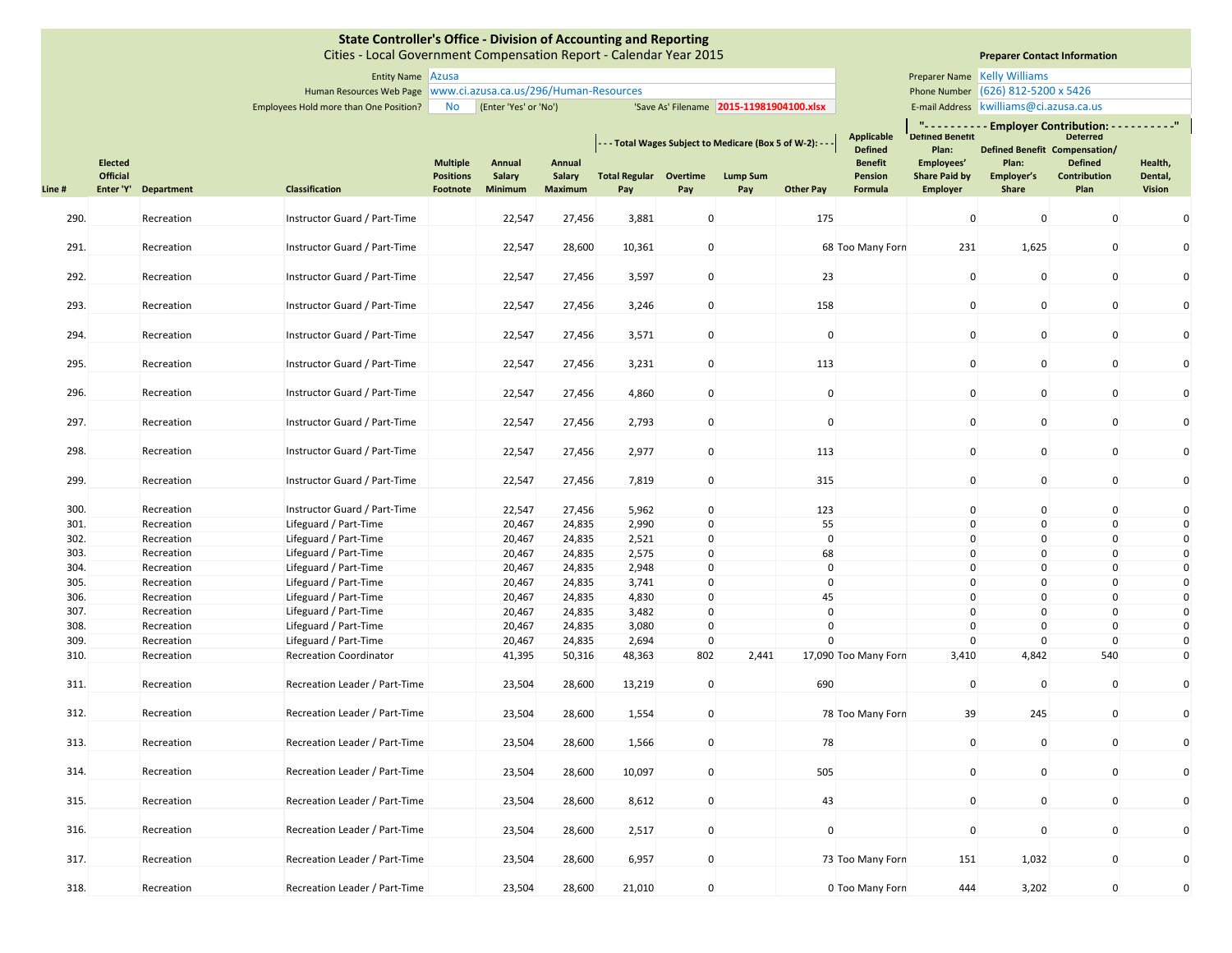|              |                |                          | State Controller's Office - Division of Accounting and Reporting<br>Cities - Local Government Compensation Report - Calendar Year 2015 |                  |                       |                  |                                                        |                            |                                          |                              |                                     |                                 | <b>Preparer Contact Information</b>     |                                                |                            |
|--------------|----------------|--------------------------|----------------------------------------------------------------------------------------------------------------------------------------|------------------|-----------------------|------------------|--------------------------------------------------------|----------------------------|------------------------------------------|------------------------------|-------------------------------------|---------------------------------|-----------------------------------------|------------------------------------------------|----------------------------|
|              |                |                          | Entity Name Azusa                                                                                                                      |                  |                       |                  |                                                        |                            |                                          |                              |                                     |                                 | Preparer Name Kelly Williams            |                                                |                            |
|              |                |                          | Human Resources Web Page   www.ci.azusa.ca.us/296/Human-Resources                                                                      |                  |                       |                  |                                                        |                            |                                          |                              |                                     |                                 | Phone Number (626) 812-5200 x 5426      |                                                |                            |
|              |                |                          | Employees Hold more than One Position?                                                                                                 | <b>No</b>        | (Enter 'Yes' or 'No') |                  |                                                        |                            | 'Save As' Filename 2015-11981904100.xlsx |                              |                                     |                                 | E-mail Address kwilliams@ci.azusa.ca.us |                                                |                            |
|              |                |                          |                                                                                                                                        |                  |                       |                  |                                                        |                            |                                          |                              |                                     |                                 |                                         | "---------- Employer Contribution: ----------" |                            |
|              |                |                          |                                                                                                                                        |                  |                       |                  | --- Total Wages Subject to Medicare (Box 5 of W-2): -- |                            |                                          |                              | <b>Applicable</b><br><b>Defined</b> | <b>Defined Benefit</b><br>Plan: | Defined Benefit Compensation/           | <b>Deterred</b>                                |                            |
|              | <b>Elected</b> |                          |                                                                                                                                        | <b>Multiple</b>  | Annual                | Annual           |                                                        |                            |                                          |                              | <b>Benefit</b>                      | Employees'                      | Plan:                                   | <b>Defined</b>                                 | Health,                    |
|              | Official       |                          |                                                                                                                                        | <b>Positions</b> | Salary                | Salary           | <b>Total Regular</b>                                   | Overtime                   | <b>Lump Sum</b>                          |                              | <b>Pension</b>                      | <b>Share Paid by</b>            | Employer's                              | Contribution                                   | Dental,                    |
| Line#        | Enter 'Y'      | Department               | <b>Classification</b>                                                                                                                  | Footnote         | Minimum               | <b>Maximum</b>   | Pay                                                    | Pay                        | Pay                                      | <b>Other Pay</b>             | Formula                             | <b>Employer</b>                 | Share                                   | Plan                                           | <b>Vision</b>              |
| 290.         |                | Recreation               | Instructor Guard / Part-Time                                                                                                           |                  | 22,547                | 27,456           | 3,881                                                  | $\pmb{0}$                  |                                          | 175                          |                                     | $\pmb{0}$                       | $\mathbf 0$                             | $\mathbf 0$                                    | $\mathbf 0$                |
|              |                |                          |                                                                                                                                        |                  |                       |                  |                                                        |                            |                                          |                              |                                     |                                 |                                         |                                                |                            |
| 291.         |                | Recreation               | Instructor Guard / Part-Time                                                                                                           |                  | 22,547                | 28,600           | 10,361                                                 | $\mathbf 0$                |                                          |                              | 68 Too Many Forn                    | 231                             | 1,625                                   | $\mathbf 0$                                    | $\mathbf 0$                |
|              |                |                          |                                                                                                                                        |                  |                       |                  |                                                        |                            |                                          |                              |                                     |                                 |                                         |                                                |                            |
| 292.         |                | Recreation               | Instructor Guard / Part-Time                                                                                                           |                  | 22,547                | 27,456           | 3,597                                                  | $\mathbf 0$                |                                          | 23                           |                                     | $\mathbf 0$                     | $\mathbf{0}$                            | $\mathbf 0$                                    | $\mathbf 0$                |
|              |                |                          |                                                                                                                                        |                  |                       |                  |                                                        |                            |                                          |                              |                                     |                                 |                                         |                                                |                            |
| 293.         |                | Recreation               | Instructor Guard / Part-Time                                                                                                           |                  | 22,547                | 27,456           | 3,246                                                  | $\mathbf 0$                |                                          | 158                          |                                     | $\mathbf 0$                     | $\mathbf 0$                             | $\mathbf 0$                                    | $\mathbf 0$                |
|              |                |                          |                                                                                                                                        |                  |                       |                  |                                                        |                            |                                          |                              |                                     |                                 |                                         |                                                |                            |
| 294.         |                | Recreation               | Instructor Guard / Part-Time                                                                                                           |                  | 22,547                | 27,456           | 3,571                                                  | $\mathbf 0$                |                                          | $\mathbf 0$                  |                                     | $\mathbf 0$                     | $\mathbf 0$                             | $\mathbf 0$                                    | $\mathbf 0$                |
| 295.         |                | Recreation               | Instructor Guard / Part-Time                                                                                                           |                  | 22,547                | 27,456           | 3,231                                                  | $\mathbf 0$                |                                          | 113                          |                                     | $\mathbf 0$                     | $\mathbf 0$                             | $\mathbf 0$                                    | $\mathbf 0$                |
|              |                |                          |                                                                                                                                        |                  |                       |                  |                                                        |                            |                                          |                              |                                     |                                 |                                         |                                                |                            |
| 296.         |                | Recreation               | Instructor Guard / Part-Time                                                                                                           |                  | 22,547                | 27,456           | 4,860                                                  | $\mathbf 0$                |                                          | $\mathbf 0$                  |                                     | $\mathbf 0$                     | $\mathbf{0}$                            | $\mathbf 0$                                    | $\mathbf 0$                |
|              |                |                          |                                                                                                                                        |                  |                       |                  |                                                        |                            |                                          |                              |                                     |                                 |                                         |                                                |                            |
| 297.         |                | Recreation               | Instructor Guard / Part-Time                                                                                                           |                  | 22,547                | 27,456           | 2,793                                                  | $\mathbf 0$                |                                          | $\mathbf 0$                  |                                     | $\mathbf 0$                     | $\mathbf{0}$                            | $\mathbf 0$                                    | $\mathbf 0$                |
|              |                |                          |                                                                                                                                        |                  |                       |                  |                                                        |                            |                                          |                              |                                     |                                 |                                         |                                                |                            |
| 298.         |                | Recreation               | Instructor Guard / Part-Time                                                                                                           |                  | 22,547                | 27,456           | 2,977                                                  | $\mathbf 0$                |                                          | 113                          |                                     | $\mathbf 0$                     | $\mathbf 0$                             | $\mathbf 0$                                    | $\mathbf{0}$               |
|              |                |                          |                                                                                                                                        |                  |                       |                  |                                                        |                            |                                          |                              |                                     |                                 |                                         |                                                |                            |
| 299.         |                | Recreation               | Instructor Guard / Part-Time                                                                                                           |                  | 22,547                | 27,456           | 7,819                                                  | $\mathbf 0$                |                                          | 315                          |                                     | $\mathbf 0$                     | $\mathbf 0$                             | $\mathbf 0$                                    | $\mathbf 0$                |
| 300.         |                | Recreation               | Instructor Guard / Part-Time                                                                                                           |                  | 22,547                | 27,456           | 5,962                                                  | $\mathbf 0$                |                                          | 123                          |                                     | $\mathbf 0$                     | $\mathbf{0}$                            | $\mathbf 0$                                    | $\mathbf 0$                |
| 301.         |                | Recreation               | Lifeguard / Part-Time                                                                                                                  |                  | 20,467                | 24,835           | 2,990                                                  | $\mathbf 0$                |                                          | 55                           |                                     | $\mathbf 0$                     | $\Omega$                                | $\mathbf 0$                                    | $\mathbf 0$                |
| 302.         |                | Recreation               | Lifeguard / Part-Time                                                                                                                  |                  | 20,467                | 24,835           | 2,521                                                  | $\mathbf{0}$               |                                          | $\mathbf 0$                  |                                     | $\mathbf 0$                     | $\Omega$                                | $\mathbf 0$                                    | $\mathbf 0$                |
| 303.         |                | Recreation               | Lifeguard / Part-Time                                                                                                                  |                  | 20,467                | 24,835           | 2,575                                                  | $\mathbf 0$                |                                          | 68                           |                                     | $\mathbf 0$                     | $\Omega$                                | $\mathbf 0$                                    | $\pmb{0}$                  |
| 304.         |                | Recreation               | Lifeguard / Part-Time                                                                                                                  |                  | 20,467                | 24,835           | 2,948                                                  | $\mathbf 0$                |                                          | $\mathbf 0$                  |                                     | $\mathbf 0$                     | $\mathbf{0}$                            | $\mathbf 0$                                    | $\mathbf 0$                |
| 305.         |                | Recreation               | Lifeguard / Part-Time                                                                                                                  |                  | 20,467                | 24,835           | 3,741                                                  | $\mathbf{0}$               |                                          | $\mathbf 0$                  |                                     | $\mathbf 0$                     | $\mathbf 0$                             | $\mathbf 0$                                    | $\mathbf 0$                |
| 306.         |                | Recreation               | Lifeguard / Part-Time                                                                                                                  |                  | 20,467                | 24,835           | 4,830                                                  | $\mathbf 0$                |                                          | 45                           |                                     | $\mathbf 0$                     | $\mathbf 0$                             | $\mathbf 0$                                    | $\mathbf 0$                |
| 307.         |                | Recreation               | Lifeguard / Part-Time                                                                                                                  |                  | 20,467                | 24,835           | 3,482                                                  | $\mathbf 0$                |                                          | $\mathbf{0}$                 |                                     | $\mathbf 0$                     | $\mathbf{0}$                            | $\mathbf 0$                                    | $\mathbf 0$                |
| 308.<br>309. |                | Recreation<br>Recreation | Lifeguard / Part-Time<br>Lifeguard / Part-Time                                                                                         |                  | 20,467<br>20,467      | 24,835<br>24,835 | 3,080<br>2,694                                         | $\mathbf 0$<br>$\mathbf 0$ |                                          | $\mathbf{0}$<br>$\mathbf{0}$ |                                     | $\mathbf 0$<br>$\mathbf 0$      | $\mathbf 0$<br>$\mathbf{0}$             | $\mathbf 0$<br>$\mathbf 0$                     | $\mathbf 0$<br>$\mathbf 0$ |
| 310.         |                | Recreation               | <b>Recreation Coordinator</b>                                                                                                          |                  | 41,395                | 50,316           | 48,363                                                 | 802                        | 2,441                                    |                              | 17,090 Too Many Forn                | 3,410                           | 4,842                                   | 540                                            | $\mathbf 0$                |
|              |                |                          |                                                                                                                                        |                  |                       |                  |                                                        |                            |                                          |                              |                                     |                                 |                                         |                                                |                            |
| 311.         |                | Recreation               | Recreation Leader / Part-Time                                                                                                          |                  | 23,504                | 28,600           | 13,219                                                 | $\mathbf 0$                |                                          | 690                          |                                     | $\mathbf 0$                     | $\mathbf 0$                             | $\pmb{0}$                                      | $\mathbf{0}$               |
|              |                |                          |                                                                                                                                        |                  |                       |                  |                                                        |                            |                                          |                              |                                     |                                 |                                         |                                                |                            |
| 312.         |                | Recreation               | Recreation Leader / Part-Time                                                                                                          |                  | 23,504                | 28,600           | 1,554                                                  | $\pmb{0}$                  |                                          |                              | 78 Too Many Forn                    | 39                              | 245                                     | $\mathbf 0$                                    | $\mathbf 0$                |
|              |                |                          |                                                                                                                                        |                  |                       |                  |                                                        |                            |                                          |                              |                                     |                                 |                                         |                                                |                            |
| 313.         |                | Recreation               | Recreation Leader / Part-Time                                                                                                          |                  | 23,504                | 28,600           | 1,566                                                  | $\mathbf 0$                |                                          | 78                           |                                     | $\mathbf 0$                     | $\mathbf{0}$                            | $\mathbf 0$                                    | $\mathbf 0$                |
|              |                |                          | Recreation Leader / Part-Time                                                                                                          |                  | 23,504                |                  | 10,097                                                 | $\mathbf 0$                |                                          | 505                          |                                     | $\mathbf 0$                     | $\mathbf 0$                             | $\mathbf 0$                                    | $\mathbf 0$                |
| 314.         |                | Recreation               |                                                                                                                                        |                  |                       | 28,600           |                                                        |                            |                                          |                              |                                     |                                 |                                         |                                                |                            |
| 315.         |                | Recreation               | Recreation Leader / Part-Time                                                                                                          |                  | 23,504                | 28,600           | 8,612                                                  | $\mathbf 0$                |                                          | 43                           |                                     | $\mathbf 0$                     | $\mathbf{0}$                            | $\pmb{0}$                                      | $\mathbf{0}$               |
|              |                |                          |                                                                                                                                        |                  |                       |                  |                                                        |                            |                                          |                              |                                     |                                 |                                         |                                                |                            |
| 316.         |                | Recreation               | Recreation Leader / Part-Time                                                                                                          |                  | 23,504                | 28,600           | 2,517                                                  | $\mathbf 0$                |                                          | $\mathbf 0$                  |                                     | $\mathbf 0$                     | $\mathbf{0}$                            | $\mathbf 0$                                    | $\mathbf 0$                |
|              |                |                          |                                                                                                                                        |                  |                       |                  |                                                        |                            |                                          |                              |                                     |                                 |                                         |                                                |                            |
| 317.         |                | Recreation               | Recreation Leader / Part-Time                                                                                                          |                  | 23,504                | 28,600           | 6,957                                                  | $\mathbf 0$                |                                          |                              | 73 Too Many Forn                    | 151                             | 1,032                                   | $\mathbf 0$                                    | $\mathbf 0$                |
|              |                |                          |                                                                                                                                        |                  |                       |                  |                                                        |                            |                                          |                              |                                     |                                 |                                         |                                                |                            |

Recreation Leader / Part‐Time 23,504 28,600 21,010 0 0 0 Too Many Forn 444 3,202 0 0

318. Recreation Recreation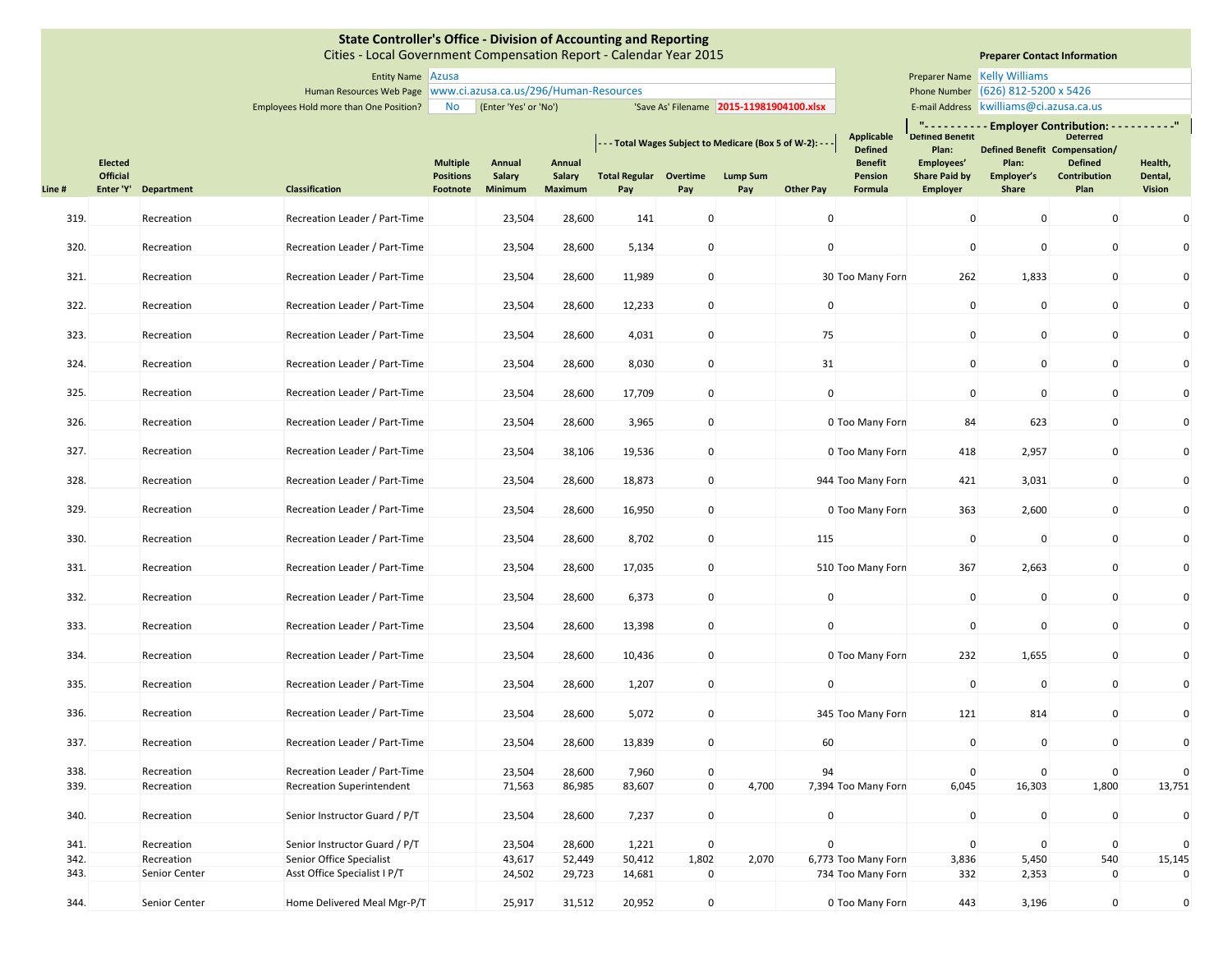|       |                       |               | <b>State Controller's Office - Division of Accounting and Reporting</b><br>Cities - Local Government Compensation Report - Calendar Year 2015 |                              |                          |                                 |                                                         |             |                                          |                  |                                                       |                                               |                                         | <b>Preparer Contact Information</b>                                                                                  |                          |
|-------|-----------------------|---------------|-----------------------------------------------------------------------------------------------------------------------------------------------|------------------------------|--------------------------|---------------------------------|---------------------------------------------------------|-------------|------------------------------------------|------------------|-------------------------------------------------------|-----------------------------------------------|-----------------------------------------|----------------------------------------------------------------------------------------------------------------------|--------------------------|
|       |                       |               | Entity Name Azusa                                                                                                                             |                              |                          |                                 |                                                         |             |                                          |                  |                                                       |                                               | Preparer Name Kelly Williams            |                                                                                                                      |                          |
|       |                       |               | Human Resources Web Page   www.ci.azusa.ca.us/296/Human-Resources                                                                             |                              |                          |                                 |                                                         |             |                                          |                  |                                                       |                                               | Phone Number (626) 812-5200 x 5426      |                                                                                                                      |                          |
|       |                       |               | Employees Hold more than One Position?                                                                                                        | No                           | (Enter 'Yes' or 'No')    |                                 |                                                         |             | 'Save As' Filename 2015-11981904100.xlsx |                  |                                                       |                                               | E-mail Address kwilliams@ci.azusa.ca.us |                                                                                                                      |                          |
|       | <b>Elected</b>        |               |                                                                                                                                               | <b>Multiple</b>              | Annual                   | Annual                          | --- Total Wages Subject to Medicare (Box 5 of W-2): --- |             |                                          |                  | <b>Applicable</b><br><b>Defined</b><br><b>Benefit</b> | <b>Defined Benefit</b><br>Plan:<br>Employees' | Plan:                                   | "---------- Employer Contribution: ----------"<br><b>Deterred</b><br>Defined Benefit Compensation/<br><b>Defined</b> | Health,                  |
| Line# | Official<br>Enter 'Y' | Department    | <b>Classification</b>                                                                                                                         | <b>Positions</b><br>Footnote | <b>Salary</b><br>Minimum | <b>Salary</b><br><b>Maximum</b> | <b>Total Regular Overtime</b><br>Pay                    | Pay         | <b>Lump Sum</b><br>Pay                   | <b>Other Pay</b> | Pension<br>Formula                                    | <b>Share Paid by</b>                          | Employer's<br>Share                     | Contribution<br>Plan                                                                                                 | Dental,<br><b>Vision</b> |
|       |                       |               |                                                                                                                                               |                              |                          |                                 |                                                         |             |                                          |                  |                                                       | <b>Employer</b>                               |                                         |                                                                                                                      |                          |
| 319.  |                       | Recreation    | Recreation Leader / Part-Time                                                                                                                 |                              | 23,504                   | 28,600                          | 141                                                     | $\pmb{0}$   |                                          | $\mathbf 0$      |                                                       | $\mathbf 0$                                   | $\mathbf{0}$                            | $\mathbf 0$                                                                                                          | $\mathbf 0$              |
| 320.  |                       | Recreation    | Recreation Leader / Part-Time                                                                                                                 |                              | 23,504                   | 28,600                          | 5,134                                                   | $\mathbf 0$ |                                          | $\mathbf 0$      |                                                       | $\mathbf 0$                                   | 0                                       | $\mathbf 0$                                                                                                          | 0                        |
| 321.  |                       | Recreation    | Recreation Leader / Part-Time                                                                                                                 |                              | 23,504                   | 28,600                          | 11,989                                                  | $\pmb{0}$   |                                          |                  | 30 Too Many Forn                                      | 262                                           | 1,833                                   | $\mathbf 0$                                                                                                          | $\mathbf 0$              |
| 322.  |                       | Recreation    | Recreation Leader / Part-Time                                                                                                                 |                              | 23,504                   | 28,600                          | 12,233                                                  | $\mathbf 0$ |                                          | $\mathbf 0$      |                                                       | $\mathbf 0$                                   | 0                                       | $\mathbf 0$                                                                                                          | 0                        |
| 323.  |                       | Recreation    | Recreation Leader / Part-Time                                                                                                                 |                              | 23,504                   | 28,600                          | 4,031                                                   | $\pmb{0}$   |                                          | 75               |                                                       | $\mathbf 0$                                   | $\mathbf 0$                             | $\mathbf 0$                                                                                                          | 0                        |
| 324.  |                       | Recreation    | Recreation Leader / Part-Time                                                                                                                 |                              | 23,504                   | 28,600                          | 8,030                                                   | $\mathbf 0$ |                                          | 31               |                                                       | $\mathbf 0$                                   | 0                                       | $\mathbf 0$                                                                                                          | 0                        |
| 325.  |                       | Recreation    | Recreation Leader / Part-Time                                                                                                                 |                              | 23,504                   | 28,600                          | 17,709                                                  | $\mathbf 0$ |                                          | $\mathbf 0$      |                                                       | $\mathbf 0$                                   | 0                                       | $\mathbf 0$                                                                                                          | 0                        |
| 326.  |                       | Recreation    | Recreation Leader / Part-Time                                                                                                                 |                              | 23,504                   | 28,600                          | 3,965                                                   | $\mathbf 0$ |                                          |                  | 0 Too Many Forn                                       | 84                                            | 623                                     | $\mathbf 0$                                                                                                          | 0                        |
| 327.  |                       | Recreation    | Recreation Leader / Part-Time                                                                                                                 |                              | 23,504                   | 38,106                          | 19,536                                                  | $\pmb{0}$   |                                          |                  | 0 Too Many Forn                                       | 418                                           | 2,957                                   | $\mathbf 0$                                                                                                          | 0                        |
| 328.  |                       | Recreation    | Recreation Leader / Part-Time                                                                                                                 |                              | 23,504                   | 28,600                          | 18,873                                                  | $\pmb{0}$   |                                          |                  | 944 Too Many Forn                                     | 421                                           | 3,031                                   | $\mathbf 0$                                                                                                          | 0                        |
| 329.  |                       | Recreation    | Recreation Leader / Part-Time                                                                                                                 |                              | 23,504                   | 28,600                          | 16,950                                                  | $\mathbf 0$ |                                          |                  | 0 Too Many Forn                                       | 363                                           | 2,600                                   | $\mathbf 0$                                                                                                          | 0                        |
| 330.  |                       | Recreation    | Recreation Leader / Part-Time                                                                                                                 |                              | 23,504                   | 28,600                          | 8,702                                                   | $\pmb{0}$   |                                          | 115              |                                                       | $\mathbf 0$                                   | 0                                       | $\mathbf 0$                                                                                                          | 0                        |
| 331.  |                       | Recreation    | Recreation Leader / Part-Time                                                                                                                 |                              | 23,504                   | 28,600                          | 17,035                                                  | $\mathbf 0$ |                                          |                  | 510 Too Many Forn                                     | 367                                           | 2,663                                   | $\mathbf 0$                                                                                                          | 0                        |
| 332.  |                       | Recreation    | Recreation Leader / Part-Time                                                                                                                 |                              | 23,504                   | 28,600                          | 6,373                                                   | $\mathbf 0$ |                                          | $\mathbf 0$      |                                                       | $\mathbf 0$                                   | 0                                       | $\mathbf 0$                                                                                                          | 0                        |
| 333.  |                       | Recreation    | Recreation Leader / Part-Time                                                                                                                 |                              | 23,504                   | 28,600                          | 13,398                                                  | $\mathbf 0$ |                                          | $\mathbf 0$      |                                                       | $\mathbf 0$                                   | 0                                       | $\mathbf 0$                                                                                                          | 0                        |
| 334.  |                       | Recreation    | Recreation Leader / Part-Time                                                                                                                 |                              | 23,504                   | 28,600                          | 10,436                                                  | $\mathbf 0$ |                                          |                  | 0 Too Many Forn                                       | 232                                           | 1,655                                   | $\mathbf 0$                                                                                                          | 0                        |
| 335.  |                       | Recreation    | Recreation Leader / Part-Time                                                                                                                 |                              | 23,504                   | 28,600                          | 1,207                                                   | $\pmb{0}$   |                                          | $\mathbf 0$      |                                                       | $\mathbf 0$                                   | 0                                       | $\mathbf 0$                                                                                                          | 0                        |
| 336.  |                       | Recreation    | Recreation Leader / Part-Time                                                                                                                 |                              | 23,504                   | 28,600                          | 5,072                                                   | $\mathbf 0$ |                                          |                  | 345 Too Many Forn                                     | 121                                           | 814                                     | $\mathbf 0$                                                                                                          | $\pmb{0}$                |
| 337.  |                       | Recreation    | Recreation Leader / Part-Time                                                                                                                 |                              | 23,504                   | 28,600                          | 13,839                                                  | $\pmb{0}$   |                                          | 60               |                                                       | $\mathbf 0$                                   | $\mathbf 0$                             | $\mathbf 0$                                                                                                          | 0                        |
| 338.  |                       | Recreation    | Recreation Leader / Part-Time                                                                                                                 |                              | 23,504                   | 28,600                          | 7,960                                                   | $\mathbf 0$ |                                          | 94               |                                                       | $\mathbf 0$                                   | $\mathbf 0$                             | $\mathbf 0$                                                                                                          | $\Omega$                 |
| 339.  |                       | Recreation    | <b>Recreation Superintendent</b>                                                                                                              |                              | 71,563                   | 86,985                          | 83,607                                                  | $\mathbf 0$ | 4,700                                    |                  | 7,394 Too Many Forn                                   | 6,045                                         | 16,303                                  | 1,800                                                                                                                | 13,751                   |
| 340.  |                       | Recreation    | Senior Instructor Guard / P/T                                                                                                                 |                              | 23,504                   | 28,600                          | 7,237                                                   | $\mathbf 0$ |                                          | $\mathbf 0$      |                                                       | $\mathbf 0$                                   | $\mathbf 0$                             | $\mathbf 0$                                                                                                          | $\pmb{0}$                |
| 341.  |                       | Recreation    | Senior Instructor Guard / P/T                                                                                                                 |                              | 23,504                   | 28,600                          | 1,221                                                   | $\pmb{0}$   |                                          | $\mathbf{0}$     |                                                       | $\mathbf 0$                                   | $\mathbf 0$                             | $\mathbf 0$                                                                                                          | $\mathbf 0$              |
| 342.  |                       | Recreation    | Senior Office Specialist                                                                                                                      |                              | 43,617                   | 52,449                          | 50,412                                                  | 1,802       | 2,070                                    |                  | 6,773 Too Many Forn                                   | 3,836                                         | 5,450                                   | 540                                                                                                                  | 15,145                   |
| 343.  |                       | Senior Center | Asst Office Specialist I P/T                                                                                                                  |                              | 24,502                   | 29,723                          | 14,681                                                  | $\mathbf 0$ |                                          |                  | 734 Too Many Forn                                     | 332                                           | 2,353                                   | $\mathbf 0$                                                                                                          | $\mathbf 0$              |
| 344.  |                       | Senior Center | Home Delivered Meal Mgr-P/T                                                                                                                   |                              | 25,917                   | 31,512                          | 20,952                                                  | $\mathbf 0$ |                                          |                  | 0 Too Many Forn                                       | 443                                           | 3,196                                   | $\mathbf 0$                                                                                                          | $\mathbf 0$              |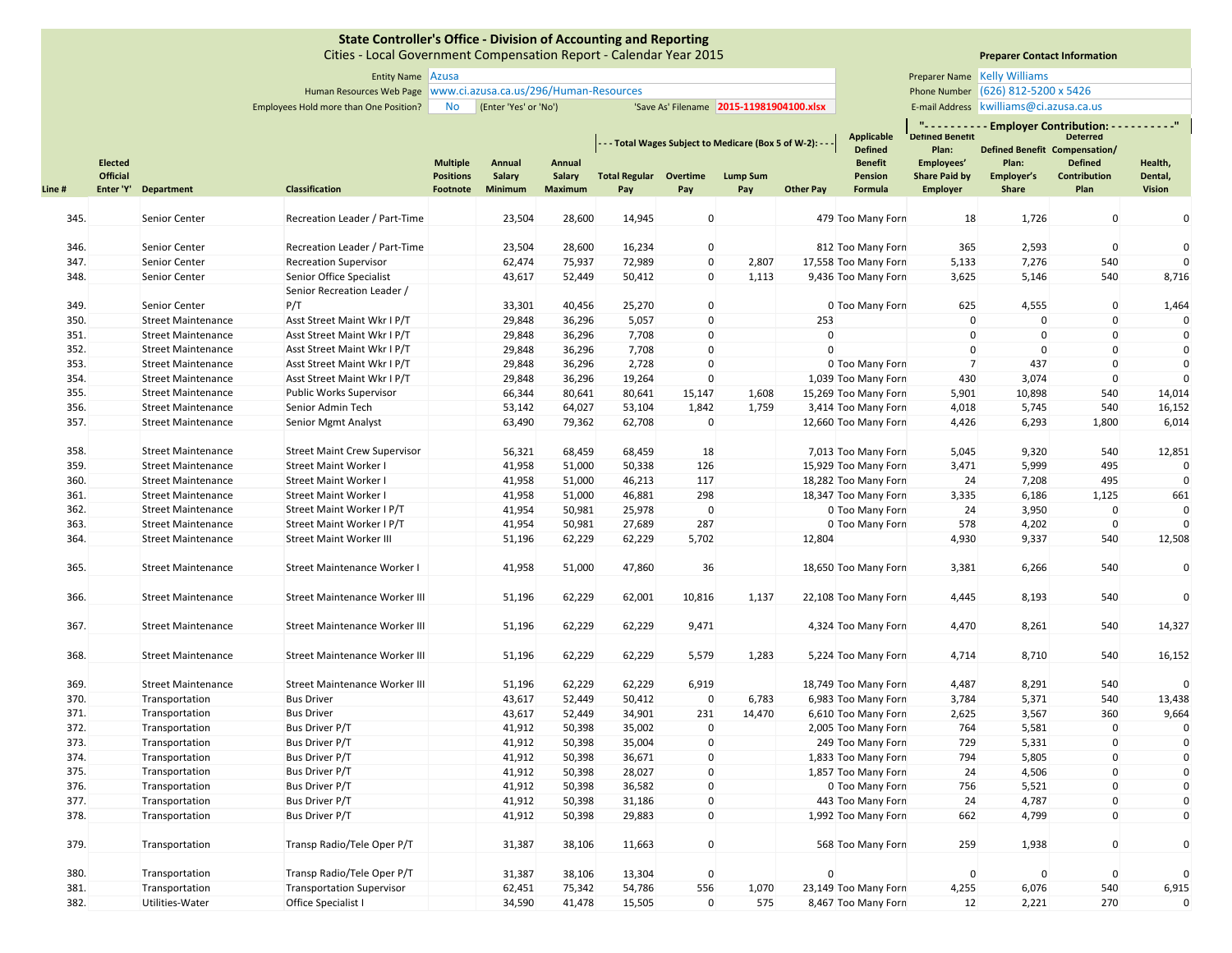Cities ‐ Local Government Compensation Report ‐ Calendar Year 2015

# **Preparer Contact Information**

### Entity Name Preparer Name Azusa Human Resources Web Page Phone Number www.ci.azusa.ca.us/296/Human‐Resources **Preparer Name Kelly Williams** Phone Number (626) 812-5200 x 5426

Employees Hold more than One Position? No (Enter 'Yes' or 'No') 'Save As' Filename 2015-11981904100.xlsx | E-mail Address E-mail Address | kwilliams@ci.azusa.ca.us

n e s

|        |                                   |                                  |                                      |                                     |                  |                  |                      |              | - - - Total Wages Subject to Medicare (Box 5 of W-2): - - |                  | <b>Applicable</b><br><b>Defined</b> | ш.,<br><b>Detined Benetit</b><br>Plan: | <b>Employer Contribution:</b><br>Defined Benefit Compensation/ | <b>Deterred</b>                |                    |
|--------|-----------------------------------|----------------------------------|--------------------------------------|-------------------------------------|------------------|------------------|----------------------|--------------|-----------------------------------------------------------|------------------|-------------------------------------|----------------------------------------|----------------------------------------------------------------|--------------------------------|--------------------|
|        | <b>Elected</b><br><b>Official</b> |                                  |                                      | <b>Multiple</b><br><b>Positions</b> | Annual<br>Salary | Annual<br>Salary | <b>Total Regular</b> | Overtime     | <b>Lump Sum</b>                                           |                  | <b>Benefit</b><br><b>Pension</b>    | Employees'<br><b>Share Paid by</b>     | Plan:<br>Employer's                                            | <b>Defined</b><br>Contribution | Health,<br>Dental, |
| Line # |                                   | Enter 'Y' Department             | Classification                       | Footnote                            | Minimum          | <b>Maximum</b>   | Pay                  | Pay          | Pay                                                       | <b>Other Pay</b> | Formula                             | <b>Employer</b>                        | <b>Share</b>                                                   | Plan                           | <b>Vision</b>      |
| 345.   |                                   | Senior Center                    | Recreation Leader / Part-Time        |                                     | 23,504           |                  |                      | $\mathbf 0$  |                                                           |                  |                                     |                                        | 1,726                                                          | $\mathbf 0$                    | $\mathbf{0}$       |
|        |                                   |                                  |                                      |                                     |                  | 28,600           | 14,945               |              |                                                           |                  | 479 Too Many Forn                   | 18                                     |                                                                |                                |                    |
| 346.   |                                   | Senior Center                    | Recreation Leader / Part-Time        |                                     | 23,504           | 28,600           | 16,234               | $\mathbf 0$  |                                                           |                  | 812 Too Many Forn                   | 365                                    | 2,593                                                          | $\mathbf 0$                    | $\Omega$           |
| 347.   |                                   | Senior Center                    | <b>Recreation Supervisor</b>         |                                     | 62,474           | 75,937           | 72,989               | $\mathbf 0$  | 2,807                                                     |                  | 17,558 Too Many Forn                | 5,133                                  | 7,276                                                          | 540                            |                    |
| 348.   |                                   | <b>Senior Center</b>             | Senior Office Specialist             |                                     | 43,617           | 52,449           | 50,412               | $\mathbf{0}$ | 1,113                                                     |                  | 9,436 Too Many Forn                 | 3,625                                  | 5,146                                                          | 540                            | 8,716              |
|        |                                   |                                  | Senior Recreation Leader /           |                                     |                  |                  |                      |              |                                                           |                  |                                     |                                        |                                                                |                                |                    |
| 349.   |                                   | Senior Center                    | P/T                                  |                                     | 33,301           | 40,456           | 25,270               | $\mathbf 0$  |                                                           |                  | 0 Too Many Forn                     | 625                                    | 4,555                                                          | $\mathbf 0$                    | 1,464              |
| 350.   |                                   | <b>Street Maintenance</b>        | Asst Street Maint Wkr I P/T          |                                     | 29,848           | 36,296           | 5,057                | $\mathbf{0}$ |                                                           | 253              |                                     | $\mathbf{0}$                           | $\mathbf 0$                                                    | $\mathbf{0}$                   | $\Omega$           |
| 351.   |                                   | <b>Street Maintenance</b>        | Asst Street Maint Wkr I P/T          |                                     | 29,848           | 36,296           | 7,708                | $\mathbf 0$  |                                                           | $\Omega$         |                                     | $\mathbf 0$                            | $\Omega$                                                       | $\mathbf{0}$                   | $\mathbf{0}$       |
| 352.   |                                   | <b>Street Maintenance</b>        | Asst Street Maint Wkr I P/T          |                                     | 29,848           | 36,296           | 7,708                | $\mathbf 0$  |                                                           | $\Omega$         |                                     | $\mathbf{0}$                           | $\Omega$                                                       | $\mathbf 0$                    | $\mathbf{0}$       |
| 353.   |                                   | <b>Street Maintenance</b>        | Asst Street Maint Wkr I P/T          |                                     | 29,848           | 36,296           | 2,728                | $\mathbf 0$  |                                                           |                  | 0 Too Many Forn                     | $\overline{7}$                         | 437                                                            | $\mathbf 0$                    | $\mathbf{0}$       |
| 354.   |                                   | <b>Street Maintenance</b>        | Asst Street Maint Wkr I P/T          |                                     | 29,848           | 36,296           | 19,264               | $\mathbf 0$  |                                                           |                  | 1,039 Too Many Forn                 | 430                                    | 3,074                                                          | $\mathbf 0$                    | $\Omega$           |
| 355.   |                                   | <b>Street Maintenance</b>        | <b>Public Works Supervisor</b>       |                                     | 66,344           | 80,641           | 80,641               | 15,147       | 1,608                                                     |                  | 15,269 Too Many Forn                | 5,901                                  | 10,898                                                         | 540                            | 14,014             |
| 356.   |                                   | <b>Street Maintenance</b>        | Senior Admin Tech                    |                                     | 53,142           | 64,027           | 53,104               | 1,842        | 1,759                                                     |                  | 3,414 Too Many Forn                 | 4,018                                  | 5,745                                                          | 540                            | 16,152             |
| 357.   |                                   | <b>Street Maintenance</b>        | <b>Senior Mgmt Analyst</b>           |                                     | 63,490           | 79,362           | 62,708               | $\pmb{0}$    |                                                           |                  | 12,660 Too Many Forn                | 4,426                                  | 6,293                                                          | 1,800                          | 6,014              |
|        |                                   |                                  |                                      |                                     |                  |                  |                      |              |                                                           |                  |                                     |                                        |                                                                |                                |                    |
| 358.   |                                   | <b>Street Maintenance</b>        | <b>Street Maint Crew Supervisor</b>  |                                     | 56,321           | 68,459           | 68,459               | 18           |                                                           |                  | 7,013 Too Many Forn                 | 5,045                                  | 9,320                                                          | 540                            | 12,851             |
| 359.   |                                   | <b>Street Maintenance</b>        | <b>Street Maint Worker I</b>         |                                     | 41,958           | 51,000           | 50,338               | 126          |                                                           |                  | 15,929 Too Many Forn                | 3,471                                  | 5,999                                                          | 495                            | $\Omega$           |
| 360.   |                                   | <b>Street Maintenance</b>        | <b>Street Maint Worker I</b>         |                                     | 41,958           | 51,000           | 46,213               | 117          |                                                           |                  | 18,282 Too Many Forn                | 24                                     | 7,208                                                          | 495                            | $\Omega$           |
| 361.   |                                   | <b>Street Maintenance</b>        | <b>Street Maint Worker I</b>         |                                     | 41,958           | 51,000           | 46,881               | 298          |                                                           |                  | 18,347 Too Many Forn                | 3,335                                  | 6,186                                                          | 1,125                          | 661                |
| 362.   |                                   | <b>Street Maintenance</b>        | Street Maint Worker I P/T            |                                     | 41,954           | 50,981           | 25,978               | $\mathbf 0$  |                                                           |                  | 0 Too Many Forn                     | 24                                     | 3,950                                                          | $\mathbf{0}$                   | $\Omega$           |
| 363.   |                                   | <b>Street Maintenance</b>        | Street Maint Worker I P/T            |                                     | 41,954           | 50,981           | 27,689               | 287          |                                                           |                  | 0 Too Many Forn                     | 578                                    | 4,202                                                          | $\mathbf 0$                    |                    |
| 364.   |                                   | <b>Street Maintenance</b>        | <b>Street Maint Worker III</b>       |                                     | 51,196           | 62,229           | 62,229               | 5,702        |                                                           | 12,804           |                                     | 4,930                                  | 9,337                                                          | 540                            | 12,508             |
|        |                                   |                                  |                                      |                                     |                  |                  |                      |              |                                                           |                  |                                     |                                        |                                                                |                                |                    |
| 365.   |                                   | <b>Street Maintenance</b>        | Street Maintenance Worker I          |                                     | 41,958           | 51,000           | 47,860               | 36           |                                                           |                  | 18,650 Too Many Forn                | 3,381                                  | 6,266                                                          | 540                            | $\mathbf 0$        |
|        |                                   |                                  |                                      |                                     |                  |                  |                      |              |                                                           |                  |                                     |                                        |                                                                |                                | $\mathbf{0}$       |
| 366.   |                                   | <b>Street Maintenance</b>        | Street Maintenance Worker III        |                                     | 51,196           | 62,229           | 62,001               | 10,816       | 1,137                                                     |                  | 22,108 Too Many Forn                | 4,445                                  | 8,193                                                          | 540                            |                    |
| 367.   |                                   | <b>Street Maintenance</b>        | Street Maintenance Worker III        |                                     |                  |                  |                      |              |                                                           |                  |                                     |                                        |                                                                |                                |                    |
|        |                                   |                                  |                                      |                                     | 51,196           | 62,229           | 62,229               | 9,471        |                                                           |                  | 4,324 Too Many Forn                 | 4,470                                  | 8,261                                                          | 540                            | 14,327             |
| 368.   |                                   | <b>Street Maintenance</b>        | Street Maintenance Worker III        |                                     | 51,196           | 62,229           | 62,229               | 5,579        | 1,283                                                     |                  | 5,224 Too Many Forn                 | 4,714                                  | 8,710                                                          | 540                            | 16,152             |
|        |                                   |                                  |                                      |                                     |                  |                  |                      |              |                                                           |                  |                                     |                                        |                                                                |                                |                    |
| 369.   |                                   | <b>Street Maintenance</b>        | <b>Street Maintenance Worker III</b> |                                     | 51,196           | 62,229           | 62,229               | 6,919        |                                                           |                  | 18,749 Too Many Forn                | 4,487                                  | 8,291                                                          | 540                            | $\Omega$           |
| 370.   |                                   | Transportation                   | <b>Bus Driver</b>                    |                                     | 43,617           | 52,449           | 50,412               | $\mathbf 0$  | 6,783                                                     |                  | 6,983 Too Many Forn                 | 3,784                                  | 5,371                                                          | 540                            | 13,438             |
| 371.   |                                   | Transportation                   | <b>Bus Driver</b>                    |                                     | 43,617           | 52,449           | 34,901               | 231          | 14,470                                                    |                  | 6,610 Too Many Forn                 | 2,625                                  | 3,567                                                          | 360                            | 9,664              |
| 372.   |                                   | Transportation                   | Bus Driver P/T                       |                                     | 41,912           | 50,398           | 35,002               | $\mathbf 0$  |                                                           |                  | 2,005 Too Many Forn                 | 764                                    | 5,581                                                          | $\mathbf 0$                    | $\mathbf{0}$       |
| 373.   |                                   | Transportation                   | <b>Bus Driver P/T</b>                |                                     | 41,912           | 50,398           | 35,004               | $\mathbf 0$  |                                                           |                  | 249 Too Many Forn                   | 729                                    | 5,331                                                          | $\mathbf 0$                    | $\mathbf 0$        |
| 374.   |                                   | Transportation                   | Bus Driver P/T                       |                                     | 41,912           | 50,398           | 36,671               | $\mathbf 0$  |                                                           |                  | 1,833 Too Many Forn                 | 794                                    | 5,805                                                          | $\mathbf 0$                    | $\mathbf 0$        |
| 375.   |                                   | Transportation                   | <b>Bus Driver P/T</b>                |                                     | 41,912           | 50,398           | 28,027               | $\mathbf 0$  |                                                           |                  | 1,857 Too Many Forn                 | 24                                     | 4,506                                                          | $\mathbf 0$                    | $\mathbf 0$        |
| 376.   |                                   | Transportation                   | Bus Driver P/T                       |                                     | 41,912           | 50,398           | 36,582               | $\mathbf 0$  |                                                           |                  | 0 Too Many Forn                     | 756                                    | 5,521                                                          | $\mathbf 0$                    | $\mathbf 0$        |
| 377.   |                                   | Transportation                   | Bus Driver P/T                       |                                     | 41,912           | 50,398           | 31,186               | $\mathbf 0$  |                                                           |                  | 443 Too Many Forn                   | 24                                     | 4,787                                                          | $\mathbf 0$                    | $\mathbf 0$        |
| 378.   |                                   | Transportation                   | <b>Bus Driver P/T</b>                |                                     | 41,912           | 50,398           | 29,883               | $\mathbf 0$  |                                                           |                  | 1,992 Too Many Forn                 | 662                                    | 4,799                                                          | $\mathbf{0}$                   | $\mathbf{0}$       |
|        |                                   |                                  |                                      |                                     |                  |                  |                      |              |                                                           |                  |                                     |                                        |                                                                |                                |                    |
| 379.   |                                   | Transportation                   | Transp Radio/Tele Oper P/T           |                                     | 31,387           | 38,106           | 11,663               | $\mathbf 0$  |                                                           |                  | 568 Too Many Forn                   | 259                                    | 1,938                                                          | $\mathbf 0$                    | $\mathbf 0$        |
| 380.   |                                   |                                  | Transp Radio/Tele Oper P/T           |                                     | 31,387           | 38,106           | 13,304               | $\mathbf 0$  |                                                           | $\mathbf{0}$     |                                     | $\mathbf{0}$                           | $\Omega$                                                       | $\mathbf 0$                    | $\Omega$           |
| 381.   |                                   | Transportation<br>Transportation | <b>Transportation Supervisor</b>     |                                     |                  | 75,342           | 54,786               | 556          | 1,070                                                     |                  | 23,149 Too Many Forn                | 4,255                                  | 6,076                                                          | 540                            | 6,915              |
| 382.   |                                   |                                  |                                      |                                     | 62,451<br>34,590 | 41,478           | 15,505               | $\mathbf 0$  | 575                                                       |                  |                                     | 12                                     | 2,221                                                          | 270                            | $\mathbf{0}$       |
|        |                                   | Utilities-Water                  | Office Specialist I                  |                                     |                  |                  |                      |              |                                                           |                  | 8,467 Too Many Forn                 |                                        |                                                                |                                |                    |